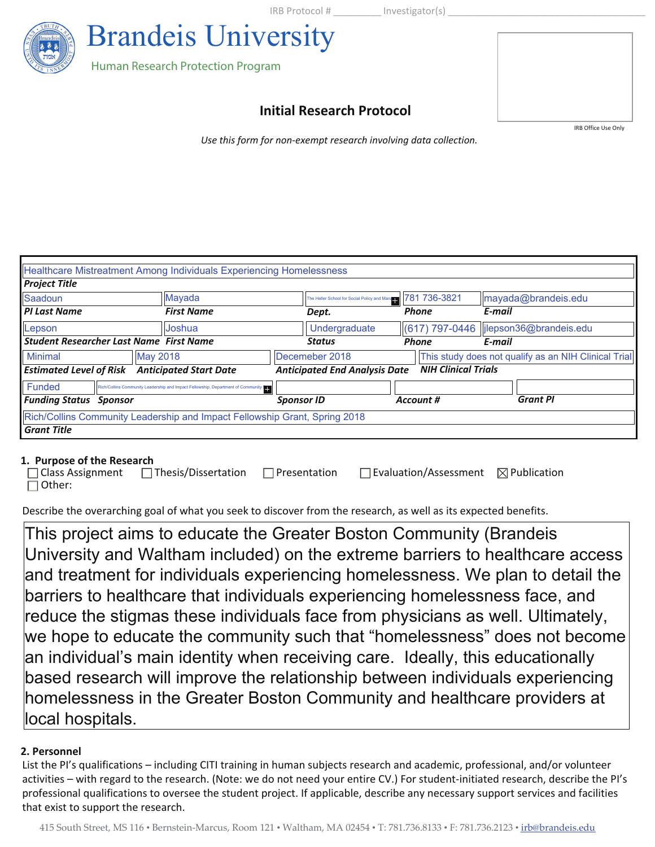IRB Protocol # lnvestigator(s)



# **Initial Research Protocol**

IRB Office Use Only

*Use this form for non-exempt research involving data collection.* 

|                                                |                 | Healthcare Mistreatment Among Individuals Experiencing Homelessness              |                   |                                                    |                            |                                                      |
|------------------------------------------------|-----------------|----------------------------------------------------------------------------------|-------------------|----------------------------------------------------|----------------------------|------------------------------------------------------|
| <b>Project Title</b>                           |                 |                                                                                  |                   |                                                    |                            |                                                      |
| Saadoun                                        |                 | Mayada                                                                           |                   | The Heller School for Social Policy and Management | 781 736-3821               | mayada@brandeis.edu                                  |
| <b>PI Last Name</b>                            |                 | <b>First Name</b>                                                                |                   | Dept.                                              | <b>Phone</b>               | E-mail                                               |
| Lepson                                         |                 | <b>Joshua</b>                                                                    |                   | Undergraduate                                      |                            | lostle 617) 797-0446 ljiepson36@brandeis.edu         |
| <b>Student Researcher Last Name First Name</b> |                 |                                                                                  |                   | <b>Status</b>                                      | <b>Phone</b>               | E-mail                                               |
| <b>Minimal</b>                                 | <b>May 2018</b> |                                                                                  |                   | Decemeber 2018                                     |                            | This study does not qualify as an NIH Clinical Trial |
| <b>Estimated Level of Risk</b>                 |                 | <b>Anticipated Start Date</b>                                                    |                   | <b>Anticipated End Analysis Date</b>               | <b>NIH Clinical Trials</b> |                                                      |
| Funded                                         |                 | Rich/Collins Community Leadership and Impact Fellowship, Department of Community |                   |                                                    |                            |                                                      |
| <b>Funding Status Sponsor</b>                  |                 |                                                                                  | <b>Sponsor ID</b> |                                                    | Account #                  | <b>Grant PI</b>                                      |
|                                                |                 | Rich/Collins Community Leadership and Impact Fellowship Grant, Spring 2018       |                   |                                                    |                            |                                                      |
| <b>Grant Title</b>                             |                 |                                                                                  |                   |                                                    |                            |                                                      |

#### **1. Purpose of the Research**

|               | □ Class Assignment □ Thesis/Dissertation □ Presentation | $\Box$ Evaluation/Assessment $\boxtimes$ Publication |  |
|---------------|---------------------------------------------------------|------------------------------------------------------|--|
| $\Box$ Other: |                                                         |                                                      |  |

Describe the overarching goal of what you seek to discover from the research, as well as its expected benefits.

This project aims to educate the Greater Boston Community (Brandeis University and Waltham included) on the extreme barriers to healthcare access and treatment for individuals experiencing homelessness. We plan to detail the barriers to healthcare that individuals experiencing homelessness face, and reduce the stigmas these individuals face from physicians as well. Ultimately, we hope to educate the community such that "homelessness" does not become an individual's main identity when receiving care. Ideally, this educationally based research will improve the relationship between individuals experiencing homelessness in the Greater Boston Community and healthcare providers at local hospitals.

#### **2. Personnel**

List the PI's qualifications – including CITI training in human subjects research and academic, professional, and/or volunteer activities – with regard to the research. (Note: we do not need your entire CV.) For student-initiated research, describe the PI's professional qualifications to oversee the student project. If applicable, describe any necessary support services and facilities that exist to support the research.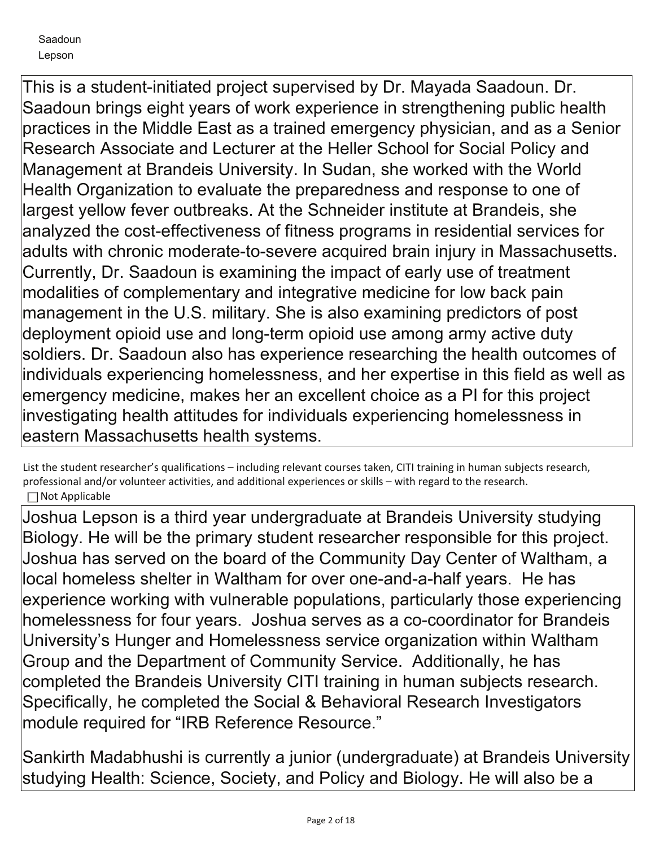This is a student-initiated project supervised by Dr. Mayada Saadoun. Dr. Saadoun brings eight years of work experience in strengthening public health practices in the Middle East as a trained emergency physician, and as a Senior Research Associate and Lecturer at the Heller School for Social Policy and Management at Brandeis University. In Sudan, she worked with the World Health Organization to evaluate the preparedness and response to one of largest yellow fever outbreaks. At the Schneider institute at Brandeis, she analyzed the cost-effectiveness of fitness programs in residential services for adults with chronic moderate-to-severe acquired brain injury in Massachusetts. Currently, Dr. Saadoun is examining the impact of early use of treatment modalities of complementary and integrative medicine for low back pain management in the U.S. military. She is also examining predictors of post deployment opioid use and long-term opioid use among army active duty soldiers. Dr. Saadoun also has experience researching the health outcomes of individuals experiencing homelessness, and her expertise in this field as well as emergency medicine, makes her an excellent choice as a PI for this project investigating health attitudes for individuals experiencing homelessness in eastern Massachusetts health systems.

List the student researcher's qualifications – including relevant courses taken, CITI training in human subjects research, professional and/or volunteer activities, and additional experiences or skills – with regard to the research.  $\Box$  Not Applicable

Joshua Lepson is a third year undergraduate at Brandeis University studying Biology. He will be the primary student researcher responsible for this project. Joshua has served on the board of the Community Day Center of Waltham, a local homeless shelter in Waltham for over one-and-a-half years. He has experience working with vulnerable populations, particularly those experiencing homelessness for four years. Joshua serves as a co-coordinator for Brandeis University's Hunger and Homelessness service organization within Waltham Group and the Department of Community Service. Additionally, he has completed the Brandeis University CITI training in human subjects research. Specifically, he completed the Social & Behavioral Research Investigators module required for "IRB Reference Resource."

Sankirth Madabhushi is currently a junior (undergraduate) at Brandeis University studying Health: Science, Society, and Policy and Biology. He will also be a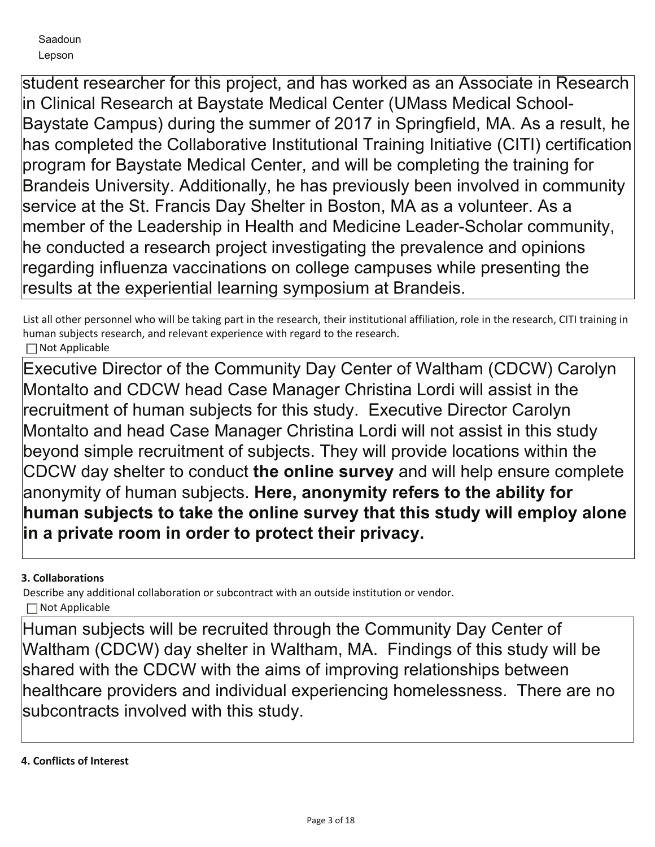student researcher for this project, and has worked as an Associate in Research in Clinical Research at Baystate Medical Center (UMass Medical School-Baystate Campus) during the summer of 2017 in Springfield, MA. As a result, he has completed the Collaborative Institutional Training Initiative (CITI) certification program for Baystate Medical Center, and will be completing the training for Brandeis University. Additionally, he has previously been involved in community service at the St. Francis Day Shelter in Boston, MA as a volunteer. As a member of the Leadership in Health and Medicine Leader-Scholar community, he conducted a research project investigating the prevalence and opinions regarding influenza vaccinations on college campuses while presenting the results at the experiential learning symposium at Brandeis.

List all other personnel who will be taking part in the research, their institutional affiliation, role in the research, CITI training in human subjects research, and relevant experience with regard to the research.  $\Box$  Not Applicable

Executive Director of the Community Day Center of Waltham (CDCW) Carolyn Montalto and CDCW head Case Manager Christina Lordi will assist in the recruitment of human subjects for this study. Executive Director Carolyn Montalto and head Case Manager Christina Lordi will not assist in this study beyond simple recruitment of subjects. They will provide locations within the CDCW day shelter to conduct **the online survey** and will help ensure complete anonymity of human subjects. **Here, anonymity refers to the ability for human subjects to take the online survey that this study will employ alone in a private room in order to protect their privacy.**

# **3. Collaborations**

Describe any additional collaboration or subcontract with an outside institution or vendor. Not Applicable

Human subjects will be recruited through the Community Day Center of Waltham (CDCW) day shelter in Waltham, MA. Findings of this study will be shared with the CDCW with the aims of improving relationships between healthcare providers and individual experiencing homelessness. There are no subcontracts involved with this study.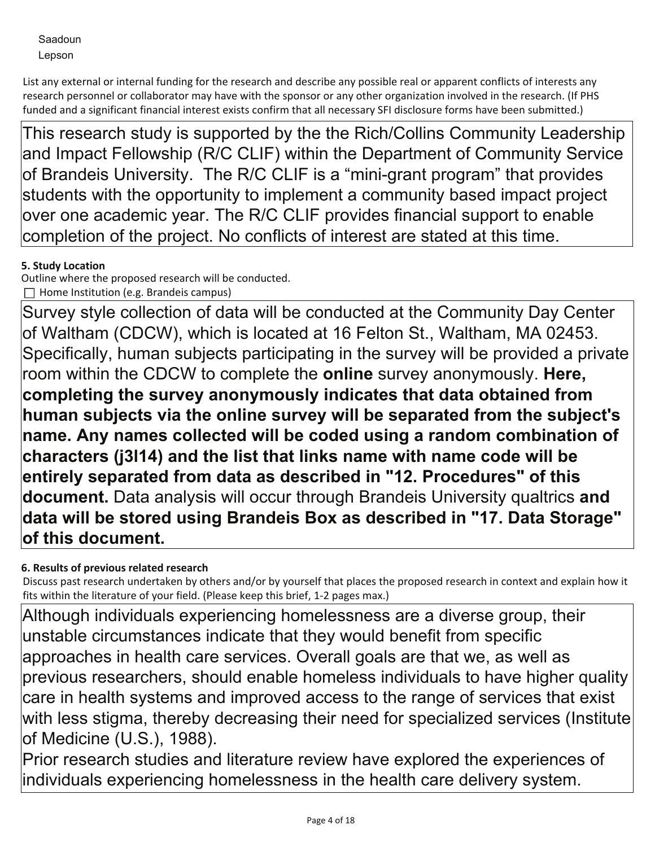List any external or internal funding for the research and describe any possible real or apparent conflicts of interests any research personnel or collaborator may have with the sponsor or any other organization involved in the research. (If PHS funded and a significant financial interest exists confirm that all necessary SFI disclosure forms have been submitted.)

This research study is supported by the the Rich/Collins Community Leadership and Impact Fellowship (R/C CLIF) within the Department of Community Service of Brandeis University. The R/C CLIF is a "mini-grant program" that provides students with the opportunity to implement a community based impact project over one academic year. The R/C CLIF provides financial support to enable completion of the project. No conflicts of interest are stated at this time.

# **5. Study Location**

Outline where the proposed research will be conducted.  $\Box$  Home Institution (e.g. Brandeis campus)

Survey style collection of data will be conducted at the Community Day Center of Waltham (CDCW), which is located at 16 Felton St., Waltham, MA 02453. Specifically, human subjects participating in the survey will be provided a private room within the CDCW to complete the **online** survey anonymously. **Here, completing the survey anonymously indicates that data obtained from human subjects via the online survey will be separated from the subject's name. Any names collected will be coded using a random combination of characters (j3l14) and the list that links name with name code will be entirely separated from data as described in "12. Procedures" of this document.** Data analysis will occur through Brandeis University qualtrics **and data will be stored using Brandeis Box as described in "17. Data Storage" of this document.**

# **6. Results of previous related research**

Discuss past research undertaken by others and/or by yourself that places the proposed research in context and explain how it fits within the literature of your field. (Please keep this brief, 1-2 pages max.)

Although individuals experiencing homelessness are a diverse group, their unstable circumstances indicate that they would benefit from specific approaches in health care services. Overall goals are that we, as well as previous researchers, should enable homeless individuals to have higher quality care in health systems and improved access to the range of services that exist with less stigma, thereby decreasing their need for specialized services (Institute of Medicine (U.S.), 1988).

Prior research studies and literature review have explored the experiences of individuals experiencing homelessness in the health care delivery system.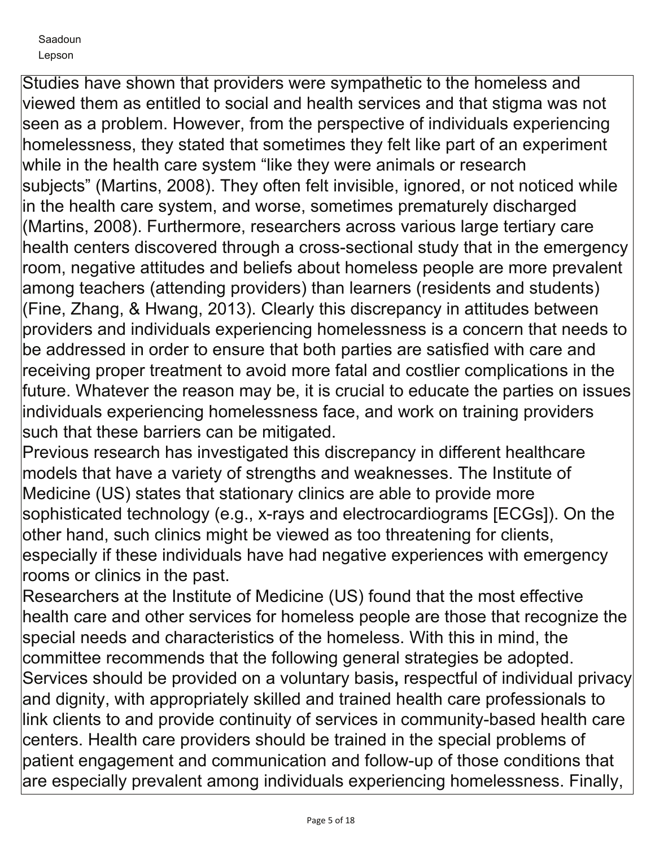Studies have shown that providers were sympathetic to the homeless and viewed them as entitled to social and health services and that stigma was not seen as a problem. However, from the perspective of individuals experiencing homelessness, they stated that sometimes they felt like part of an experiment while in the health care system "like they were animals or research subjects" (Martins, 2008). They often felt invisible, ignored, or not noticed while in the health care system, and worse, sometimes prematurely discharged (Martins, 2008). Furthermore, researchers across various large tertiary care health centers discovered through a cross-sectional study that in the emergency room, negative attitudes and beliefs about homeless people are more prevalent among teachers (attending providers) than learners (residents and students) (Fine, Zhang, & Hwang, 2013). Clearly this discrepancy in attitudes between providers and individuals experiencing homelessness is a concern that needs to be addressed in order to ensure that both parties are satisfied with care and receiving proper treatment to avoid more fatal and costlier complications in the future. Whatever the reason may be, it is crucial to educate the parties on issues individuals experiencing homelessness face, and work on training providers such that these barriers can be mitigated.

Previous research has investigated this discrepancy in different healthcare models that have a variety of strengths and weaknesses. The Institute of Medicine (US) states that stationary clinics are able to provide more sophisticated technology (e.g., x-rays and electrocardiograms [ECGs]). On the other hand, such clinics might be viewed as too threatening for clients, especially if these individuals have had negative experiences with emergency rooms or clinics in the past.

Researchers at the Institute of Medicine (US) found that the most effective health care and other services for homeless people are those that recognize the special needs and characteristics of the homeless. With this in mind, the committee recommends that the following general strategies be adopted. Services should be provided on a voluntary basis**,** respectful of individual privacy and dignity, with appropriately skilled and trained health care professionals to link clients to and provide continuity of services in community-based health care centers. Health care providers should be trained in the special problems of patient engagement and communication and follow-up of those conditions that are especially prevalent among individuals experiencing homelessness. Finally,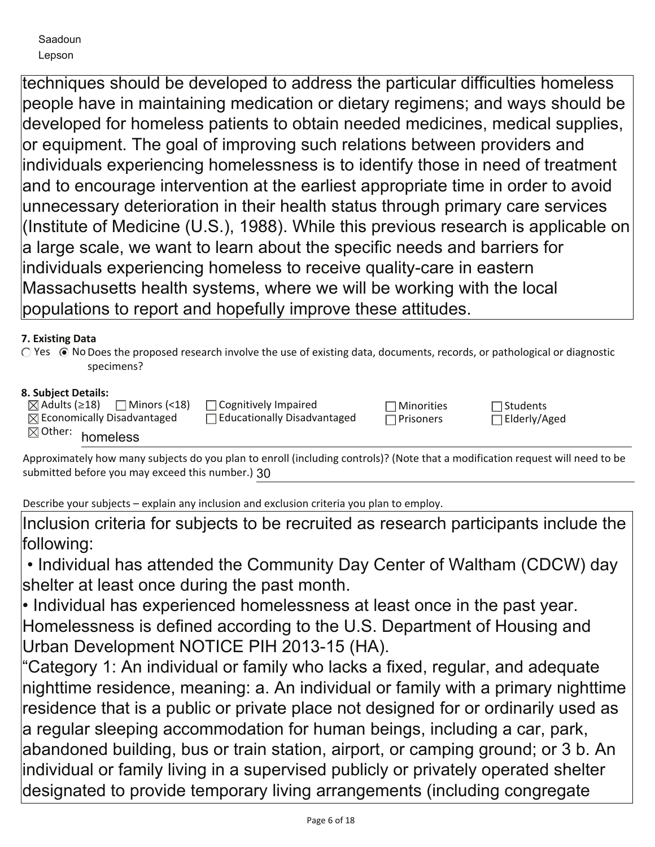techniques should be developed to address the particular difficulties homeless people have in maintaining medication or dietary regimens; and ways should be developed for homeless patients to obtain needed medicines, medical supplies, or equipment. The goal of improving such relations between providers and individuals experiencing homelessness is to identify those in need of treatment and to encourage intervention at the earliest appropriate time in order to avoid unnecessary deterioration in their health status through primary care services (Institute of Medicine (U.S.), 1988). While this previous research is applicable on a large scale, we want to learn about the specific needs and barriers for individuals experiencing homeless to receive quality-care in eastern Massachusetts health systems, where we will be working with the local populations to report and hopefully improve these attitudes.

# **7. Existing Data**

○ Yes ● No Does the proposed research involve the use of existing data, documents, records, or pathological or diagnostic specimens?

# **8. Subject Details:**

| 1 Minors (<18)<br>$\boxtimes$ Adults (≥18)<br>$\boxtimes$ Economically Disadvantaged | $\Box$ Cognitively Impaired<br>$\Box$ Educationally Disadvantaged | $\neg$ Minorities<br>l Prisoners | $\lnot$ Students<br>$\Box$ Elderly/Aged |  |
|--------------------------------------------------------------------------------------|-------------------------------------------------------------------|----------------------------------|-----------------------------------------|--|
| $\boxtimes$ Other: homeless                                                          |                                                                   |                                  |                                         |  |

Approximately how many subjects do you plan to enroll (including controls)? (Note that a modification request will need to be submitted before you may exceed this number.) 30

Describe your subjects – explain any inclusion and exclusion criteria you plan to employ.

Inclusion criteria for subjects to be recruited as research participants include the following:

 • Individual has attended the Community Day Center of Waltham (CDCW) day shelter at least once during the past month.

• Individual has experienced homelessness at least once in the past year. Homelessness is defined according to the U.S. Department of Housing and Urban Development NOTICE PIH 2013-15 (HA).

"Category 1: An individual or family who lacks a fixed, regular, and adequate nighttime residence, meaning: a. An individual or family with a primary nighttime residence that is a public or private place not designed for or ordinarily used as a regular sleeping accommodation for human beings, including a car, park, abandoned building, bus or train station, airport, or camping ground; or 3 b. An individual or family living in a supervised publicly or privately operated shelter designated to provide temporary living arrangements (including congregate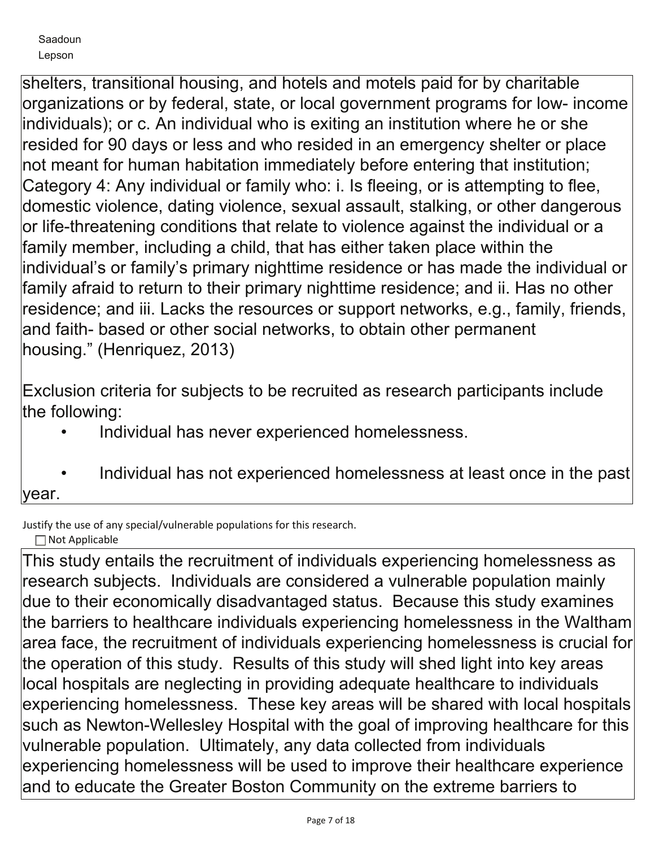shelters, transitional housing, and hotels and motels paid for by charitable organizations or by federal, state, or local government programs for low- income individuals); or c. An individual who is exiting an institution where he or she resided for 90 days or less and who resided in an emergency shelter or place not meant for human habitation immediately before entering that institution; Category 4: Any individual or family who: i. Is fleeing, or is attempting to flee, domestic violence, dating violence, sexual assault, stalking, or other dangerous or life-threatening conditions that relate to violence against the individual or a family member, including a child, that has either taken place within the individual's or family's primary nighttime residence or has made the individual or family afraid to return to their primary nighttime residence; and ii. Has no other residence; and iii. Lacks the resources or support networks, e.g., family, friends, and faith- based or other social networks, to obtain other permanent housing." (Henriquez, 2013)

Exclusion criteria for subjects to be recruited as research participants include the following:

- Individual has never experienced homelessness.
- Individual has not experienced homelessness at least once in the past year.

Justify the use of any special/vulnerable populations for this research. □ Not Applicable

This study entails the recruitment of individuals experiencing homelessness as research subjects. Individuals are considered a vulnerable population mainly due to their economically disadvantaged status. Because this study examines the barriers to healthcare individuals experiencing homelessness in the Waltham area face, the recruitment of individuals experiencing homelessness is crucial for the operation of this study. Results of this study will shed light into key areas local hospitals are neglecting in providing adequate healthcare to individuals experiencing homelessness. These key areas will be shared with local hospitals such as Newton-Wellesley Hospital with the goal of improving healthcare for this vulnerable population. Ultimately, any data collected from individuals experiencing homelessness will be used to improve their healthcare experience and to educate the Greater Boston Community on the extreme barriers to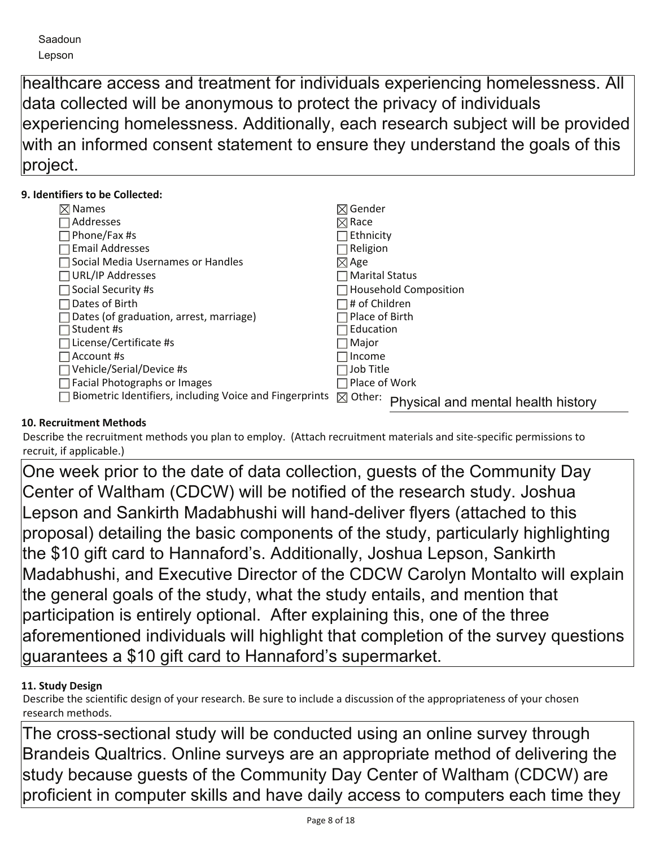healthcare access and treatment for individuals experiencing homelessness. All data collected will be anonymous to protect the privacy of individuals experiencing homelessness. Additionally, each research subject will be provided with an informed consent statement to ensure they understand the goals of this project.

# **9. Identifiers to be Collected:**

| $\boxtimes$ Names                                       | $\boxtimes$ Gender                                       |
|---------------------------------------------------------|----------------------------------------------------------|
| Addresses                                               | $\boxtimes$ Race                                         |
| Phone/Fax #s                                            | ⊤Ethnicity                                               |
| <b>Email Addresses</b>                                  | $\exists$ Religion                                       |
| Social Media Usernames or Handles                       | $\boxtimes$ Age                                          |
| <b>URL/IP Addresses</b>                                 | $\sqcap$ Marital Status                                  |
| Social Security #s                                      | $\Box$ Household Composition                             |
| Dates of Birth                                          | ∃# of Children                                           |
| Dates (of graduation, arrest, marriage)                 | Place of Birth                                           |
| Student #s                                              | Education                                                |
| License/Certificate #s                                  | 7 Major                                                  |
| Account #s                                              | Income                                                   |
| Vehicle/Serial/Device #s                                | Job Title                                                |
| Facial Photographs or Images                            | ∏Place of Work                                           |
| Biometric Identifiers, including Voice and Fingerprints | $\boxtimes$ Other:<br>Physical and mental health history |

# **10. Recruitment Methods**

Describe the recruitment methods you plan to employ. (Attach recruitment materials and site-specific permissions to recruit, if applicable.)

One week prior to the date of data collection, guests of the Community Day Center of Waltham (CDCW) will be notified of the research study. Joshua Lepson and Sankirth Madabhushi will hand-deliver flyers (attached to this proposal) detailing the basic components of the study, particularly highlighting the \$10 gift card to Hannaford's. Additionally, Joshua Lepson, Sankirth Madabhushi, and Executive Director of the CDCW Carolyn Montalto will explain the general goals of the study, what the study entails, and mention that participation is entirely optional. After explaining this, one of the three aforementioned individuals will highlight that completion of the survey questions guarantees a \$10 gift card to Hannaford's supermarket.

# **11. Study Design**

Describe the scientific design of your research. Be sure to include a discussion of the appropriateness of your chosen research methods.

The cross-sectional study will be conducted using an online survey through Brandeis Qualtrics. Online surveys are an appropriate method of delivering the study because guests of the Community Day Center of Waltham (CDCW) are proficient in computer skills and have daily access to computers each time they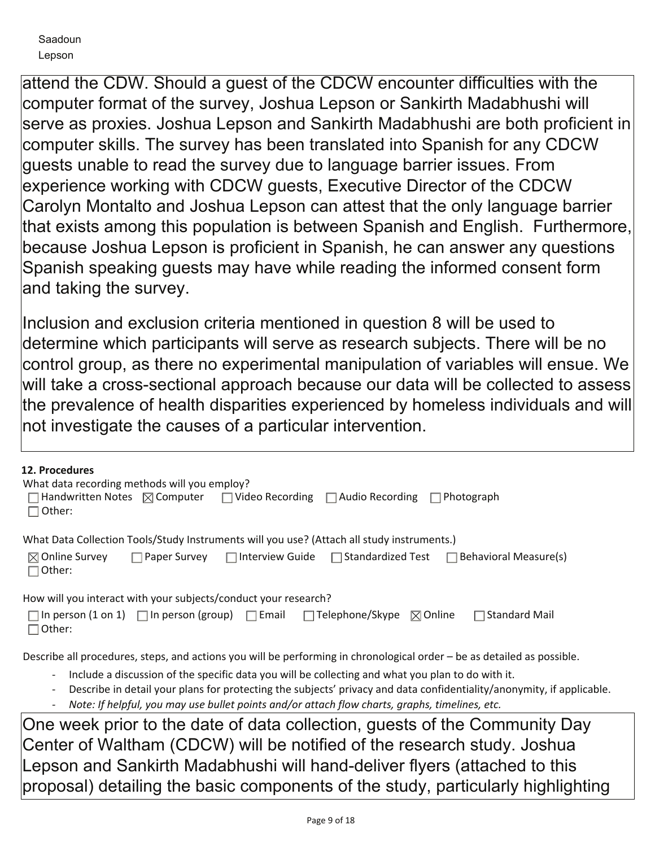attend the CDW. Should a guest of the CDCW encounter difficulties with the computer format of the survey, Joshua Lepson or Sankirth Madabhushi will serve as proxies. Joshua Lepson and Sankirth Madabhushi are both proficient in computer skills. The survey has been translated into Spanish for any CDCW guests unable to read the survey due to language barrier issues. From experience working with CDCW guests, Executive Director of the CDCW Carolyn Montalto and Joshua Lepson can attest that the only language barrier that exists among this population is between Spanish and English. Furthermore, because Joshua Lepson is proficient in Spanish, he can answer any questions Spanish speaking guests may have while reading the informed consent form and taking the survey.

Inclusion and exclusion criteria mentioned in question 8 will be used to determine which participants will serve as research subjects. There will be no control group, as there no experimental manipulation of variables will ensue. We will take a cross-sectional approach because our data will be collected to assess the prevalence of health disparities experienced by homeless individuals and will not investigate the causes of a particular intervention.

| 12. Procedures<br>What data recording methods will you employ?<br>Handwritten Notes $\boxtimes$ Computer $\Box$ Video Recording $\Box$ Audio Recording $\Box$ Photograph<br>Other:                                                                                                                                                                                                                               |
|------------------------------------------------------------------------------------------------------------------------------------------------------------------------------------------------------------------------------------------------------------------------------------------------------------------------------------------------------------------------------------------------------------------|
| What Data Collection Tools/Study Instruments will you use? (Attach all study instruments.)                                                                                                                                                                                                                                                                                                                       |
| $\boxtimes$ Online Survey<br><b>Paper Survey</b> Interview Guide Standardized Test Behavioral Measure(s)<br>$\Box$ Other:                                                                                                                                                                                                                                                                                        |
| How will you interact with your subjects/conduct your research?<br>$\Box$ In person (1 on 1) $\Box$ In person (group) $\Box$ Email $\Box$ Telephone/Skype $\Box$ Online<br>$\Box$ Standard Mail<br>$\Box$ Other:                                                                                                                                                                                                 |
| Describe all procedures, steps, and actions you will be performing in chronological order – be as detailed as possible.                                                                                                                                                                                                                                                                                          |
| Include a discussion of the specific data you will be collecting and what you plan to do with it.<br>$\overline{\phantom{a}}$<br>Describe in detail your plans for protecting the subjects' privacy and data confidentiality/anonymity, if applicable.<br>$\overline{\phantom{a}}$<br>Note: If helpful, you may use bullet points and/or attach flow charts, graphs, timelines, etc.<br>$\overline{\phantom{a}}$ |
| One week prior to the date of data collection, guests of the Community Day<br>Center of Waltham (CDCW) will be notified of the research study. Joshua<br>ll ancon and Capkirth Modelpubushi will bond deliver flyere (etteabed to this                                                                                                                                                                           |

Lepson and Sankirth Madabhushi will hand-deliver flyers (attached to this proposal) detailing the basic components of the study, particularly highlighting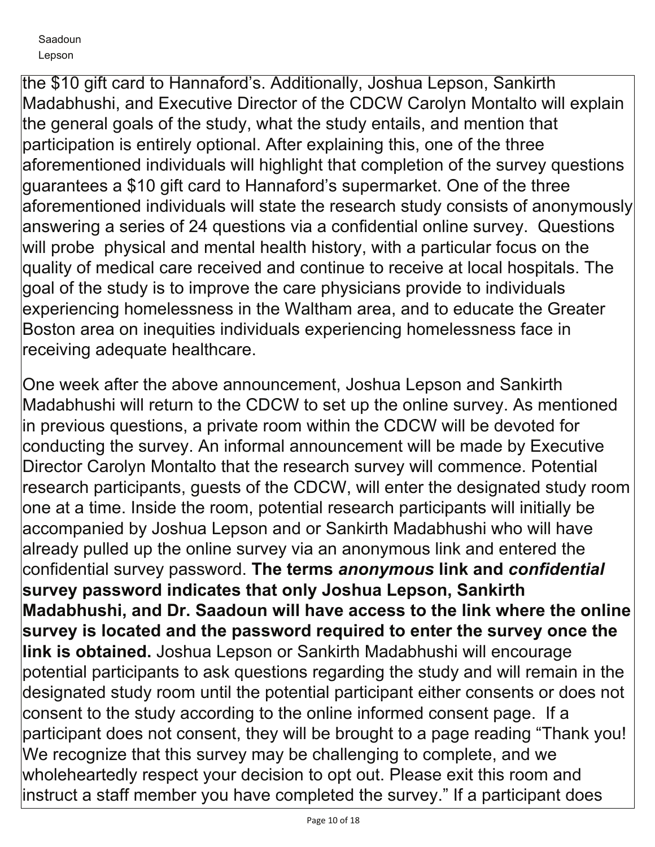the \$10 gift card to Hannaford's. Additionally, Joshua Lepson, Sankirth Madabhushi, and Executive Director of the CDCW Carolyn Montalto will explain the general goals of the study, what the study entails, and mention that participation is entirely optional. After explaining this, one of the three aforementioned individuals will highlight that completion of the survey questions guarantees a \$10 gift card to Hannaford's supermarket. One of the three aforementioned individuals will state the research study consists of anonymously answering a series of 24 questions via a confidential online survey. Questions will probe physical and mental health history, with a particular focus on the quality of medical care received and continue to receive at local hospitals. The goal of the study is to improve the care physicians provide to individuals experiencing homelessness in the Waltham area, and to educate the Greater Boston area on inequities individuals experiencing homelessness face in receiving adequate healthcare.

One week after the above announcement, Joshua Lepson and Sankirth Madabhushi will return to the CDCW to set up the online survey. As mentioned in previous questions, a private room within the CDCW will be devoted for conducting the survey. An informal announcement will be made by Executive Director Carolyn Montalto that the research survey will commence. Potential research participants, guests of the CDCW, will enter the designated study room one at a time. Inside the room, potential research participants will initially be accompanied by Joshua Lepson and or Sankirth Madabhushi who will have already pulled up the online survey via an anonymous link and entered the confidential survey password. **The terms** *anonymous* **link and** *confidential* **survey password indicates that only Joshua Lepson, Sankirth Madabhushi, and Dr. Saadoun will have access to the link where the online survey is located and the password required to enter the survey once the link is obtained.** Joshua Lepson or Sankirth Madabhushi will encourage potential participants to ask questions regarding the study and will remain in the designated study room until the potential participant either consents or does not consent to the study according to the online informed consent page. If a participant does not consent, they will be brought to a page reading "Thank you! We recognize that this survey may be challenging to complete, and we wholeheartedly respect your decision to opt out. Please exit this room and instruct a staff member you have completed the survey." If a participant does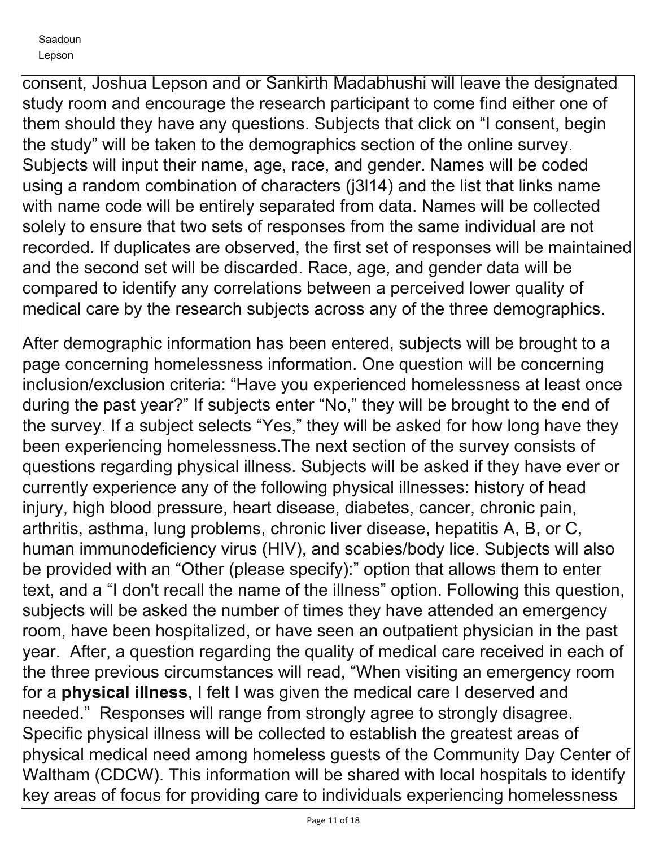consent, Joshua Lepson and or Sankirth Madabhushi will leave the designated study room and encourage the research participant to come find either one of them should they have any questions. Subjects that click on "I consent, begin the study" will be taken to the demographics section of the online survey. Subjects will input their name, age, race, and gender. Names will be coded using a random combination of characters (j3l14) and the list that links name with name code will be entirely separated from data. Names will be collected solely to ensure that two sets of responses from the same individual are not recorded. If duplicates are observed, the first set of responses will be maintained and the second set will be discarded. Race, age, and gender data will be compared to identify any correlations between a perceived lower quality of medical care by the research subjects across any of the three demographics.

After demographic information has been entered, subjects will be brought to a page concerning homelessness information. One question will be concerning inclusion/exclusion criteria: "Have you experienced homelessness at least once during the past year?" If subjects enter "No," they will be brought to the end of the survey. If a subject selects "Yes," they will be asked for how long have they been experiencing homelessness.The next section of the survey consists of questions regarding physical illness. Subjects will be asked if they have ever or currently experience any of the following physical illnesses: history of head injury, high blood pressure, heart disease, diabetes, cancer, chronic pain, arthritis, asthma, lung problems, chronic liver disease, hepatitis A, B, or C, human immunodeficiency virus (HIV), and scabies/body lice. Subjects will also be provided with an "Other (please specify):" option that allows them to enter text, and a "I don't recall the name of the illness" option. Following this question, subjects will be asked the number of times they have attended an emergency room, have been hospitalized, or have seen an outpatient physician in the past year. After, a question regarding the quality of medical care received in each of the three previous circumstances will read, "When visiting an emergency room for a **physical illness**, I felt I was given the medical care I deserved and needed." Responses will range from strongly agree to strongly disagree. Specific physical illness will be collected to establish the greatest areas of physical medical need among homeless guests of the Community Day Center of Waltham (CDCW). This information will be shared with local hospitals to identify key areas of focus for providing care to individuals experiencing homelessness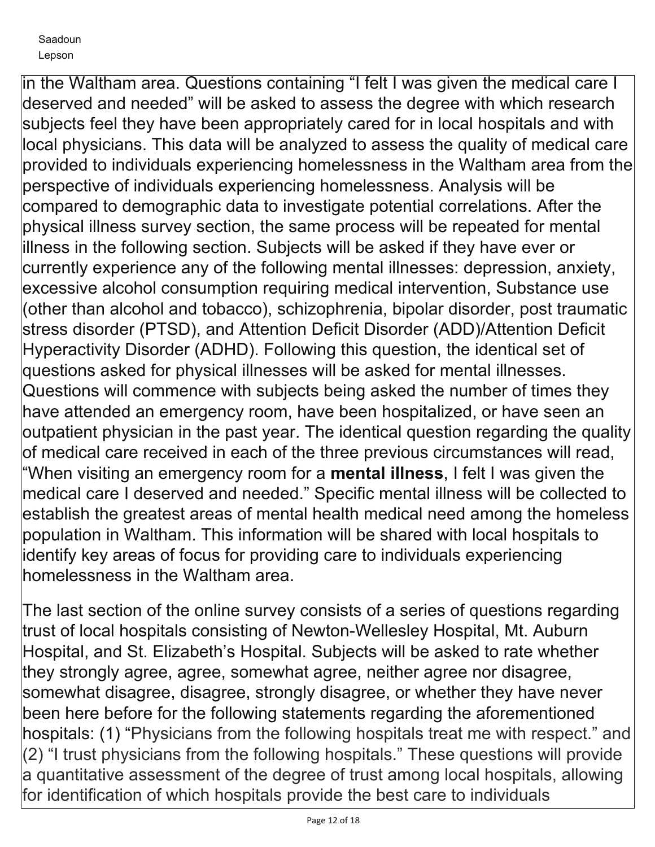in the Waltham area. Questions containing "I felt I was given the medical care I deserved and needed" will be asked to assess the degree with which research subjects feel they have been appropriately cared for in local hospitals and with local physicians. This data will be analyzed to assess the quality of medical care provided to individuals experiencing homelessness in the Waltham area from the perspective of individuals experiencing homelessness. Analysis will be compared to demographic data to investigate potential correlations. After the physical illness survey section, the same process will be repeated for mental illness in the following section. Subjects will be asked if they have ever or currently experience any of the following mental illnesses: depression, anxiety, excessive alcohol consumption requiring medical intervention, Substance use (other than alcohol and tobacco), schizophrenia, bipolar disorder, post traumatic stress disorder (PTSD), and Attention Deficit Disorder (ADD)/Attention Deficit Hyperactivity Disorder (ADHD). Following this question, the identical set of questions asked for physical illnesses will be asked for mental illnesses. Questions will commence with subjects being asked the number of times they have attended an emergency room, have been hospitalized, or have seen an outpatient physician in the past year. The identical question regarding the quality of medical care received in each of the three previous circumstances will read, "When visiting an emergency room for a **mental illness**, I felt I was given the medical care I deserved and needed." Specific mental illness will be collected to establish the greatest areas of mental health medical need among the homeless population in Waltham. This information will be shared with local hospitals to identify key areas of focus for providing care to individuals experiencing homelessness in the Waltham area.

The last section of the online survey consists of a series of questions regarding trust of local hospitals consisting of Newton-Wellesley Hospital, Mt. Auburn Hospital, and St. Elizabeth's Hospital. Subjects will be asked to rate whether they strongly agree, agree, somewhat agree, neither agree nor disagree, somewhat disagree, disagree, strongly disagree, or whether they have never been here before for the following statements regarding the aforementioned hospitals: (1) "Physicians from the following hospitals treat me with respect." and (2) "I trust physicians from the following hospitals." These questions will provide a quantitative assessment of the degree of trust among local hospitals, allowing for identification of which hospitals provide the best care to individuals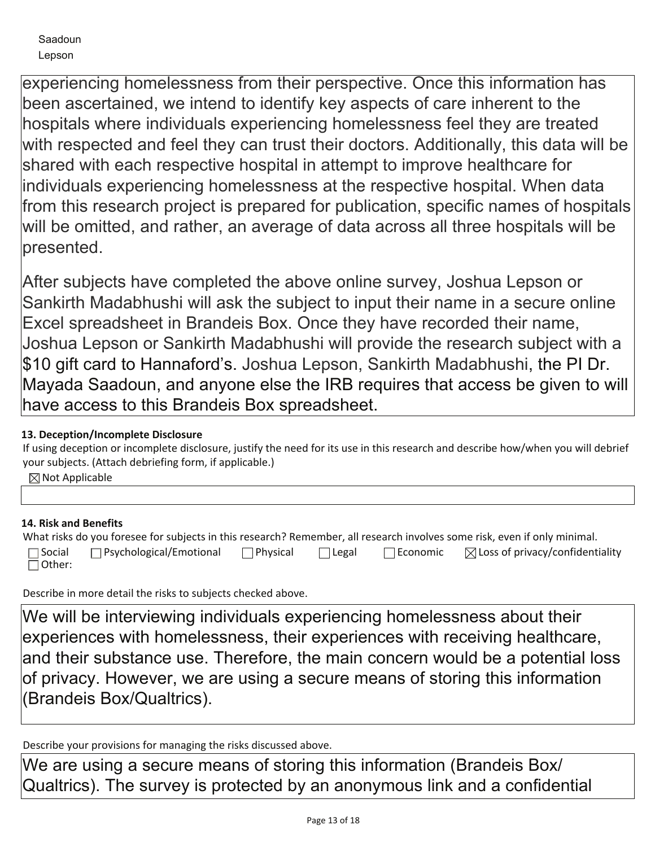experiencing homelessness from their perspective. Once this information has been ascertained, we intend to identify key aspects of care inherent to the hospitals where individuals experiencing homelessness feel they are treated with respected and feel they can trust their doctors. Additionally, this data will be shared with each respective hospital in attempt to improve healthcare for individuals experiencing homelessness at the respective hospital. When data from this research project is prepared for publication, specific names of hospitals will be omitted, and rather, an average of data across all three hospitals will be presented.

After subjects have completed the above online survey, Joshua Lepson or Sankirth Madabhushi will ask the subject to input their name in a secure online Excel spreadsheet in Brandeis Box. Once they have recorded their name, Joshua Lepson or Sankirth Madabhushi will provide the research subject with a \$10 gift card to Hannaford's. Joshua Lepson, Sankirth Madabhushi, the PI Dr. Mayada Saadoun, and anyone else the IRB requires that access be given to will have access to this Brandeis Box spreadsheet.

# **13. Deception/Incomplete Disclosure**

If using deception or incomplete disclosure, justify the need for its use in this research and describe how/when you will debrief your subjects. (Attach debriefing form, if applicable.)

 $\boxtimes$  Not Applicable

# **14. Risk and Benefits**

| What risks do you foresee for subjects in this research? Remember, all research involves some risk, even if only minimal. |                                |                  |       |            |                                             |  |
|---------------------------------------------------------------------------------------------------------------------------|--------------------------------|------------------|-------|------------|---------------------------------------------|--|
| $\Box$ Social<br>$\Box$ Other:                                                                                            | $\Box$ Psychological/Emotional | <b>TPhysical</b> | Legal | l Economic | $\boxtimes$ Loss of privacy/confidentiality |  |

Describe in more detail the risks to subjects checked above.

We will be interviewing individuals experiencing homelessness about their experiences with homelessness, their experiences with receiving healthcare, and their substance use. Therefore, the main concern would be a potential loss of privacy. However, we are using a secure means of storing this information (Brandeis Box/Qualtrics).

Describe your provisions for managing the risks discussed above.

We are using a secure means of storing this information (Brandeis Box/ Qualtrics). The survey is protected by an anonymous link and a confidential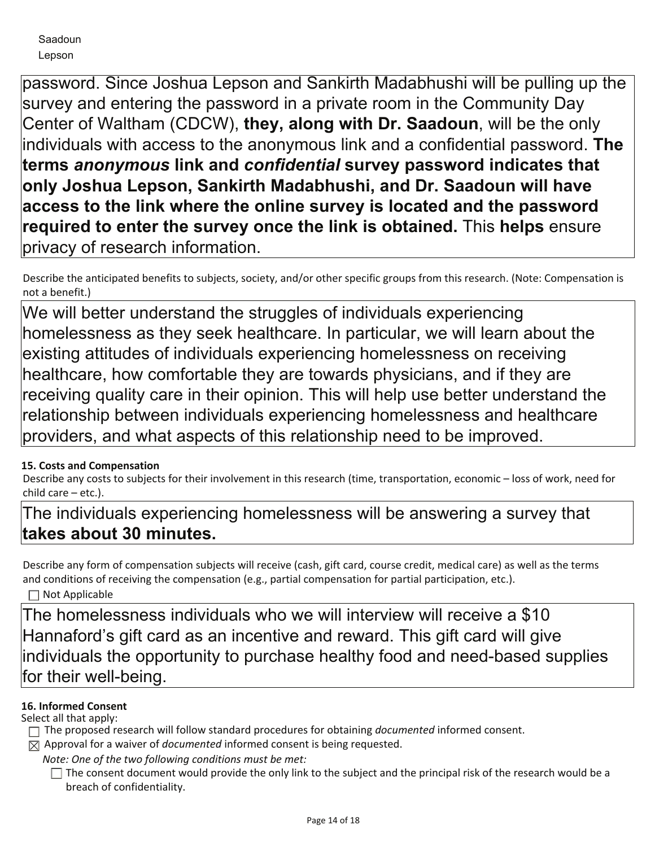password. Since Joshua Lepson and Sankirth Madabhushi will be pulling up the survey and entering the password in a private room in the Community Day Center of Waltham (CDCW), **they, along with Dr. Saadoun**, will be the only individuals with access to the anonymous link and a confidential password. **The terms** *anonymous* **link and** *confidential* **survey password indicates that only Joshua Lepson, Sankirth Madabhushi, and Dr. Saadoun will have access to the link where the online survey is located and the password required to enter the survey once the link is obtained.** This **helps** ensure privacy of research information.

Describe the anticipated benefits to subjects, society, and/or other specific groups from this research. (Note: Compensation is not a benefit.)

We will better understand the struggles of individuals experiencing homelessness as they seek healthcare. In particular, we will learn about the existing attitudes of individuals experiencing homelessness on receiving healthcare, how comfortable they are towards physicians, and if they are receiving quality care in their opinion. This will help use better understand the relationship between individuals experiencing homelessness and healthcare providers, and what aspects of this relationship need to be improved.

# **15. Costs and Compensation**

Describe any costs to subjects for their involvement in this research (time, transportation, economic – loss of work, need for child care – etc.).

The individuals experiencing homelessness will be answering a survey that **takes about 30 minutes.**

Describe any form of compensation subjects will receive (cash, gift card, course credit, medical care) as well as the terms and conditions of receiving the compensation (e.g., partial compensation for partial participation, etc.). □ Not Applicable

The homelessness individuals who we will interview will receive a \$10 Hannaford's gift card as an incentive and reward. This gift card will give individuals the opportunity to purchase healthy food and need-based supplies for their well-being.

# **16. Informed Consent**

Select all that apply:

- The proposed research will follow standard procedures for obtaining *documented* informed consent.
- $\boxtimes$  Approval for a waiver of *documented* informed consent is being requested.

*Note: One of the two following conditions must be met:*

 $\Box$  The consent document would provide the only link to the subject and the principal risk of the research would be a breach of confidentiality.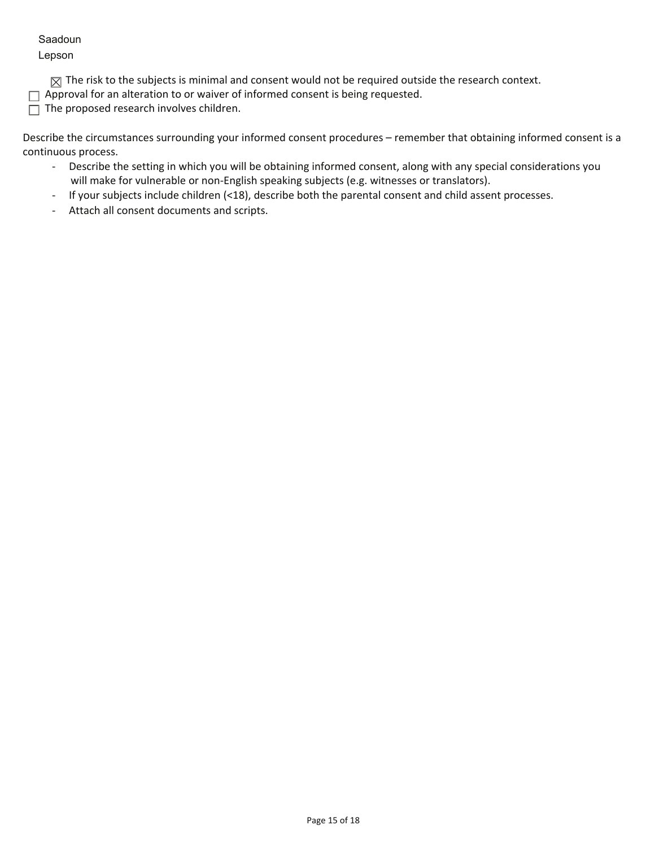#### Saadoun

Lepson

 $\boxtimes$  The risk to the subjects is minimal and consent would not be required outside the research context.

 $\Box$  Approval for an alteration to or waiver of informed consent is being requested.

 $\Box$  The proposed research involves children.

Describe the circumstances surrounding your informed consent procedures – remember that obtaining informed consent is a continuous process.

- Describe the setting in which you will be obtaining informed consent, along with any special considerations you will make for vulnerable or non-English speaking subjects (e.g. witnesses or translators).
- If your subjects include children (<18), describe both the parental consent and child assent processes.
- Attach all consent documents and scripts.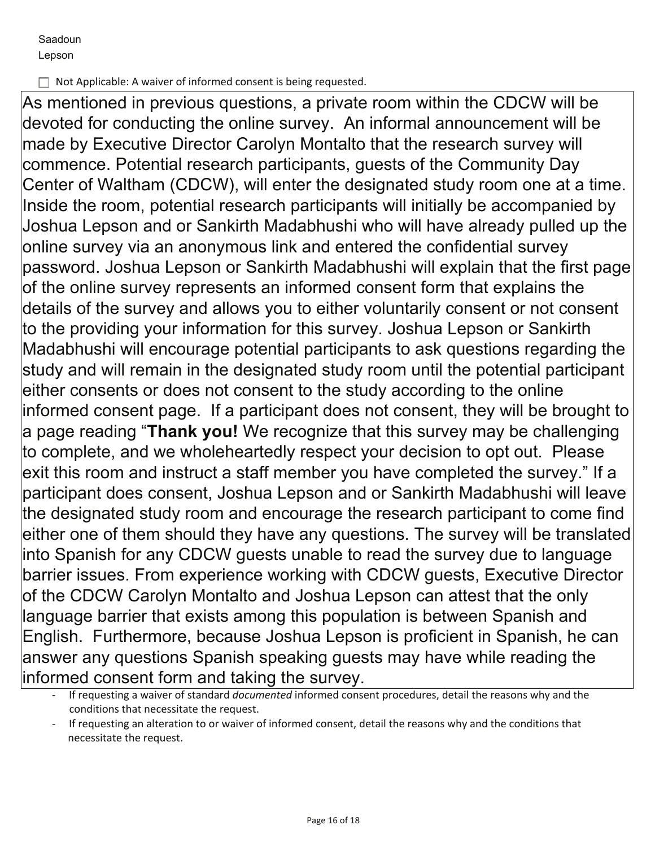□ Not Applicable: A waiver of informed consent is being requested.

As mentioned in previous questions, a private room within the CDCW will be devoted for conducting the online survey. An informal announcement will be made by Executive Director Carolyn Montalto that the research survey will commence. Potential research participants, guests of the Community Day Center of Waltham (CDCW), will enter the designated study room one at a time. Inside the room, potential research participants will initially be accompanied by Joshua Lepson and or Sankirth Madabhushi who will have already pulled up the online survey via an anonymous link and entered the confidential survey password. Joshua Lepson or Sankirth Madabhushi will explain that the first page of the online survey represents an informed consent form that explains the details of the survey and allows you to either voluntarily consent or not consent to the providing your information for this survey. Joshua Lepson or Sankirth Madabhushi will encourage potential participants to ask questions regarding the study and will remain in the designated study room until the potential participant either consents or does not consent to the study according to the online informed consent page. If a participant does not consent, they will be brought to a page reading "**Thank you!** We recognize that this survey may be challenging to complete, and we wholeheartedly respect your decision to opt out. Please exit this room and instruct a staff member you have completed the survey." If a participant does consent, Joshua Lepson and or Sankirth Madabhushi will leave the designated study room and encourage the research participant to come find either one of them should they have any questions. The survey will be translated into Spanish for any CDCW guests unable to read the survey due to language barrier issues. From experience working with CDCW guests, Executive Director of the CDCW Carolyn Montalto and Joshua Lepson can attest that the only language barrier that exists among this population is between Spanish and English. Furthermore, because Joshua Lepson is proficient in Spanish, he can answer any questions Spanish speaking guests may have while reading the informed consent form and taking the survey.

 <sup>-</sup> If requesting a waiver of standard *documented* informed consent procedures, detail the reasons why and the conditions that necessitate the request.

If requesting an alteration to or waiver of informed consent, detail the reasons why and the conditions that necessitate the request.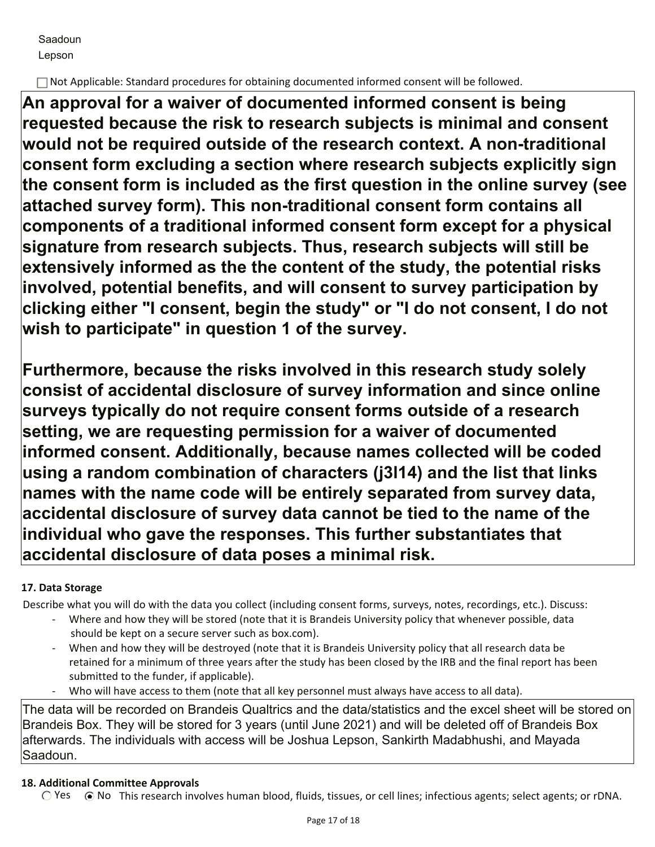Not Applicable: Standard procedures for obtaining documented informed consent will be followed.

**An approval for a waiver of documented informed consent is being requested because the risk to research subjects is minimal and consent would not be required outside of the research context. A non-traditional consent form excluding a section where research subjects explicitly sign the consent form is included as the first question in the online survey (see attached survey form). This non-traditional consent form contains all components of a traditional informed consent form except for a physical signature from research subjects. Thus, research subjects will still be extensively informed as the the content of the study, the potential risks involved, potential benefits, and will consent to survey participation by clicking either "I consent, begin the study" or "I do not consent, I do not wish to participate" in question 1 of the survey.** 

**Furthermore, because the risks involved in this research study solely consist of accidental disclosure of survey information and since online surveys typically do not require consent forms outside of a research setting, we are requesting permission for a waiver of documented informed consent. Additionally, because names collected will be coded using a random combination of characters (j3l14) and the list that links names with the name code will be entirely separated from survey data, accidental disclosure of survey data cannot be tied to the name of the individual who gave the responses. This further substantiates that accidental disclosure of data poses a minimal risk.**

# **17. Data Storage**

Describe what you will do with the data you collect (including consent forms, surveys, notes, recordings, etc.). Discuss:

- Where and how they will be stored (note that it is Brandeis University policy that whenever possible, data should be kept on a secure server such as box.com).
- When and how they will be destroyed (note that it is Brandeis University policy that all research data be retained for a minimum of three years after the study has been closed by the IRB and the final report has been submitted to the funder, if applicable).
- Who will have access to them (note that all key personnel must always have access to all data).

The data will be recorded on Brandeis Qualtrics and the data/statistics and the excel sheet will be stored on Brandeis Box. They will be stored for 3 years (until June 2021) and will be deleted off of Brandeis Box afterwards. The individuals with access will be Joshua Lepson, Sankirth Madabhushi, and Mayada Saadoun.

# **18. Additional Committee Approvals**

 $\bigcirc$  Yes  $\bigcirc$  No This research involves human blood, fluids, tissues, or cell lines; infectious agents; select agents; or rDNA.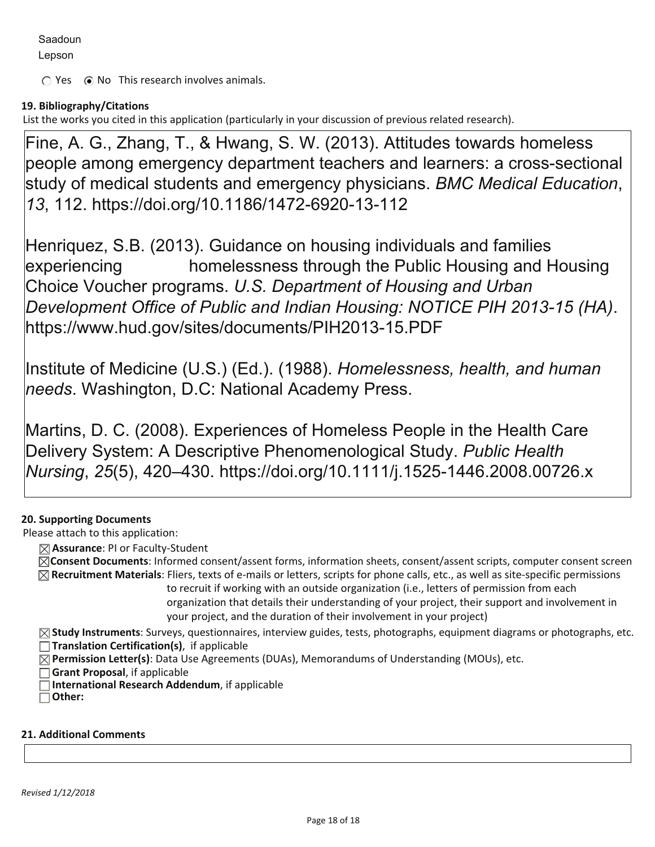Lepson

 $\bigcirc$  Yes  $\bigcirc$  No This research involves animals.

# **19. Bibliography/Citations**

List the works you cited in this application (particularly in your discussion of previous related research).

Fine, A. G., Zhang, T., & Hwang, S. W. (2013). Attitudes towards homeless people among emergency department teachers and learners: a cross-sectional study of medical students and emergency physicians. *BMC Medical Education*, *13*, 112. https://doi.org/10.1186/1472-6920-13-112

Henriquez, S.B. (2013). Guidance on housing individuals and families experiencing homelessness through the Public Housing and Housing Choice Voucher programs. *U.S. Department of Housing and Urban Development Office of Public and Indian Housing: NOTICE PIH 2013-15 (HA)*. https://www.hud.gov/sites/documents/PIH2013-15.PDF

Institute of Medicine (U.S.) (Ed.). (1988). *Homelessness, health, and human needs*. Washington, D.C: National Academy Press.

Martins, D. C. (2008). Experiences of Homeless People in the Health Care Delivery System: A Descriptive Phenomenological Study. *Public Health Nursing*, *25*(5), 420–430. https://doi.org/10.1111/j.1525-1446.2008.00726.x

# **20. Supporting Documents**

Please attach to this application:

 **Assurance**: PI or Faculty-Student

**Consent Documents**: Informed consent/assent forms, information sheets, consent/assent scripts, computer consent screen  **Recruitment Materials**: Fliers, texts of e-mails or letters, scripts for phone calls, etc., as well as site-specific permissions

to recruit if working with an outside organization (i.e., letters of permission from each organization that details their understanding of your project, their support and involvement in your project, and the duration of their involvement in your project)

**Study Instruments**: Surveys, questionnaires, interview guides, tests, photographs, equipment diagrams or photographs, etc.  **Translation Certification(s)**, if applicable

**Permission Letter(s)**: Data Use Agreements (DUAs), Memorandums of Understanding (MOUs), etc.

**Grant Proposal**, if applicable

**International Research Addendum**, if applicable

 **Other:**

#### **21. Additional Comments**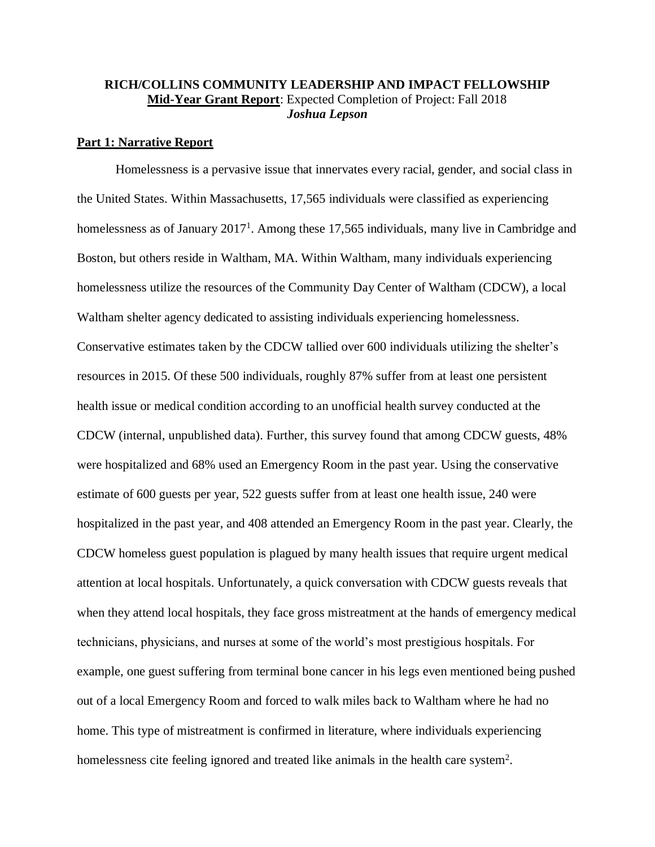#### **RICH/COLLINS COMMUNITY LEADERSHIP AND IMPACT FELLOWSHIP Mid-Year Grant Report**: Expected Completion of Project: Fall 2018 *Joshua Lepson*

#### **Part 1: Narrative Report**

Homelessness is a pervasive issue that innervates every racial, gender, and social class in the United States. Within Massachusetts, 17,565 individuals were classified as experiencing homelessness as of January 2017<sup>1</sup>. Among these 17,565 individuals, many live in Cambridge and Boston, but others reside in Waltham, MA. Within Waltham, many individuals experiencing homelessness utilize the resources of the Community Day Center of Waltham (CDCW), a local Waltham shelter agency dedicated to assisting individuals experiencing homelessness. Conservative estimates taken by the CDCW tallied over 600 individuals utilizing the shelter's resources in 2015. Of these 500 individuals, roughly 87% suffer from at least one persistent health issue or medical condition according to an unofficial health survey conducted at the CDCW (internal, unpublished data). Further, this survey found that among CDCW guests, 48% were hospitalized and 68% used an Emergency Room in the past year. Using the conservative estimate of 600 guests per year, 522 guests suffer from at least one health issue, 240 were hospitalized in the past year, and 408 attended an Emergency Room in the past year. Clearly, the CDCW homeless guest population is plagued by many health issues that require urgent medical attention at local hospitals. Unfortunately, a quick conversation with CDCW guests reveals that when they attend local hospitals, they face gross mistreatment at the hands of emergency medical technicians, physicians, and nurses at some of the world's most prestigious hospitals. For example, one guest suffering from terminal bone cancer in his legs even mentioned being pushed out of a local Emergency Room and forced to walk miles back to Waltham where he had no home. This type of mistreatment is confirmed in literature, where individuals experiencing homelessness cite feeling ignored and treated like animals in the health care system<sup>2</sup>.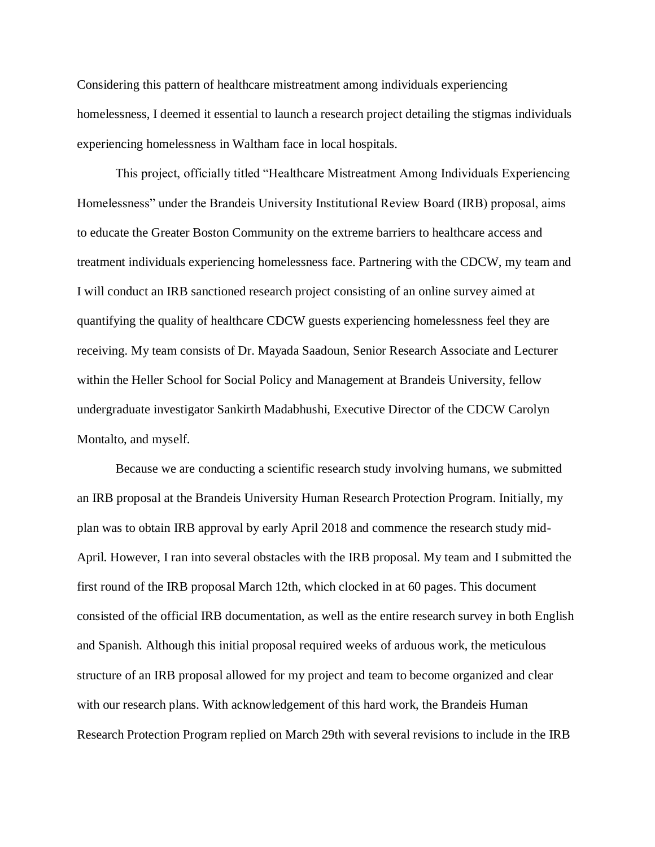Considering this pattern of healthcare mistreatment among individuals experiencing homelessness, I deemed it essential to launch a research project detailing the stigmas individuals experiencing homelessness in Waltham face in local hospitals.

This project, officially titled "Healthcare Mistreatment Among Individuals Experiencing Homelessness" under the Brandeis University Institutional Review Board (IRB) proposal, aims to educate the Greater Boston Community on the extreme barriers to healthcare access and treatment individuals experiencing homelessness face. Partnering with the CDCW, my team and I will conduct an IRB sanctioned research project consisting of an online survey aimed at quantifying the quality of healthcare CDCW guests experiencing homelessness feel they are receiving. My team consists of Dr. Mayada Saadoun, Senior Research Associate and Lecturer within the Heller School for Social Policy and Management at Brandeis University, fellow undergraduate investigator Sankirth Madabhushi, Executive Director of the CDCW Carolyn Montalto, and myself.

Because we are conducting a scientific research study involving humans, we submitted an IRB proposal at the Brandeis University Human Research Protection Program. Initially, my plan was to obtain IRB approval by early April 2018 and commence the research study mid-April. However, I ran into several obstacles with the IRB proposal. My team and I submitted the first round of the IRB proposal March 12th, which clocked in at 60 pages. This document consisted of the official IRB documentation, as well as the entire research survey in both English and Spanish. Although this initial proposal required weeks of arduous work, the meticulous structure of an IRB proposal allowed for my project and team to become organized and clear with our research plans. With acknowledgement of this hard work, the Brandeis Human Research Protection Program replied on March 29th with several revisions to include in the IRB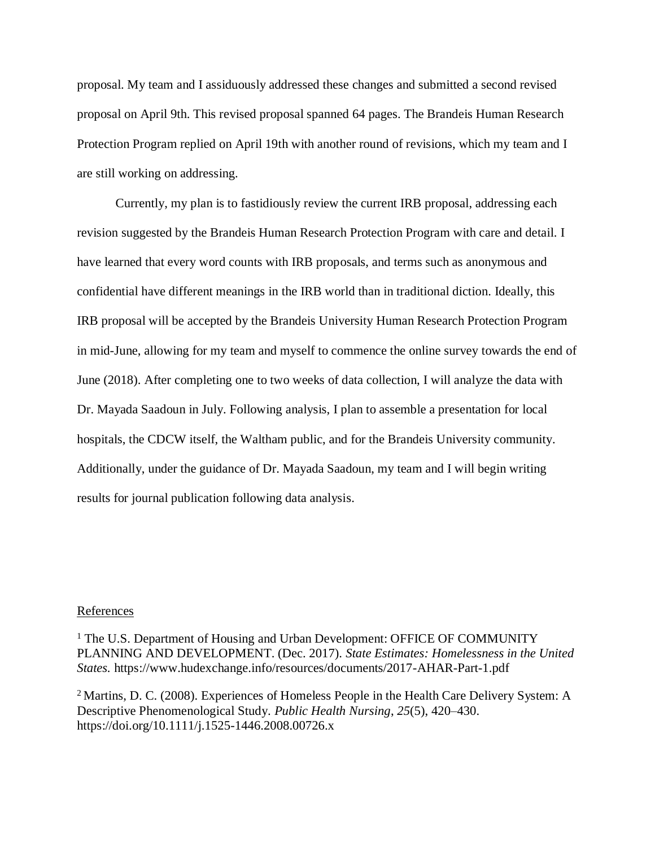proposal. My team and I assiduously addressed these changes and submitted a second revised proposal on April 9th. This revised proposal spanned 64 pages. The Brandeis Human Research Protection Program replied on April 19th with another round of revisions, which my team and I are still working on addressing.

Currently, my plan is to fastidiously review the current IRB proposal, addressing each revision suggested by the Brandeis Human Research Protection Program with care and detail. I have learned that every word counts with IRB proposals, and terms such as anonymous and confidential have different meanings in the IRB world than in traditional diction. Ideally, this IRB proposal will be accepted by the Brandeis University Human Research Protection Program in mid-June, allowing for my team and myself to commence the online survey towards the end of June (2018). After completing one to two weeks of data collection, I will analyze the data with Dr. Mayada Saadoun in July. Following analysis, I plan to assemble a presentation for local hospitals, the CDCW itself, the Waltham public, and for the Brandeis University community. Additionally, under the guidance of Dr. Mayada Saadoun, my team and I will begin writing results for journal publication following data analysis.

#### **References**

<sup>1</sup> The U.S. Department of Housing and Urban Development: OFFICE OF COMMUNITY PLANNING AND DEVELOPMENT. (Dec. 2017). *State Estimates: Homelessness in the United States.* https://www.hudexchange.info/resources/documents/2017-AHAR-Part-1.pdf

<sup>2</sup> Martins, D. C. (2008). Experiences of Homeless People in the Health Care Delivery System: A Descriptive Phenomenological Study. *Public Health Nursing*, *25*(5), 420–430. https://doi.org/10.1111/j.1525-1446.2008.00726.x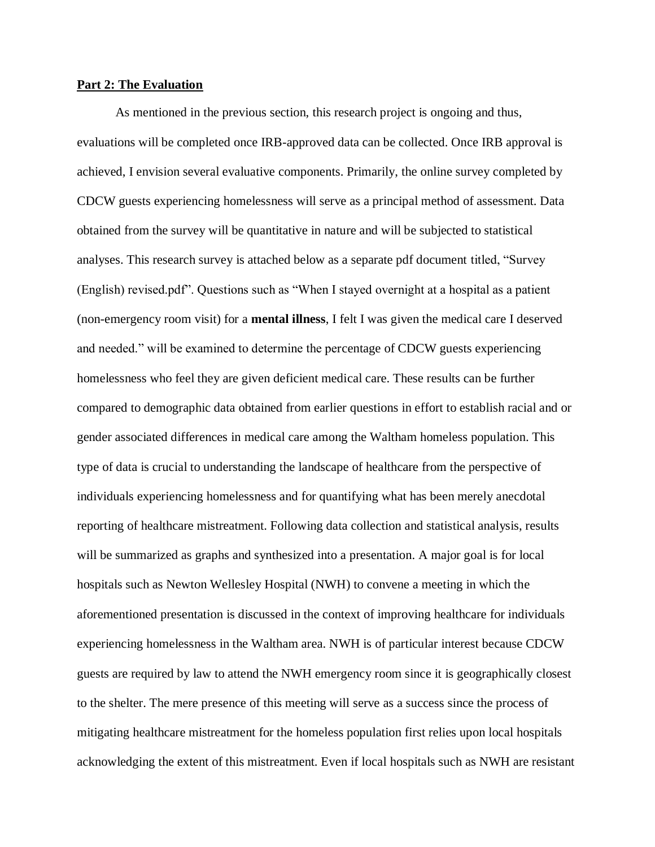#### **Part 2: The Evaluation**

As mentioned in the previous section, this research project is ongoing and thus, evaluations will be completed once IRB-approved data can be collected. Once IRB approval is achieved, I envision several evaluative components. Primarily, the online survey completed by CDCW guests experiencing homelessness will serve as a principal method of assessment. Data obtained from the survey will be quantitative in nature and will be subjected to statistical analyses. This research survey is attached below as a separate pdf document titled, "Survey (English) revised.pdf". Questions such as "When I stayed overnight at a hospital as a patient (non-emergency room visit) for a **mental illness**, I felt I was given the medical care I deserved and needed." will be examined to determine the percentage of CDCW guests experiencing homelessness who feel they are given deficient medical care. These results can be further compared to demographic data obtained from earlier questions in effort to establish racial and or gender associated differences in medical care among the Waltham homeless population. This type of data is crucial to understanding the landscape of healthcare from the perspective of individuals experiencing homelessness and for quantifying what has been merely anecdotal reporting of healthcare mistreatment. Following data collection and statistical analysis, results will be summarized as graphs and synthesized into a presentation. A major goal is for local hospitals such as Newton Wellesley Hospital (NWH) to convene a meeting in which the aforementioned presentation is discussed in the context of improving healthcare for individuals experiencing homelessness in the Waltham area. NWH is of particular interest because CDCW guests are required by law to attend the NWH emergency room since it is geographically closest to the shelter. The mere presence of this meeting will serve as a success since the process of mitigating healthcare mistreatment for the homeless population first relies upon local hospitals acknowledging the extent of this mistreatment. Even if local hospitals such as NWH are resistant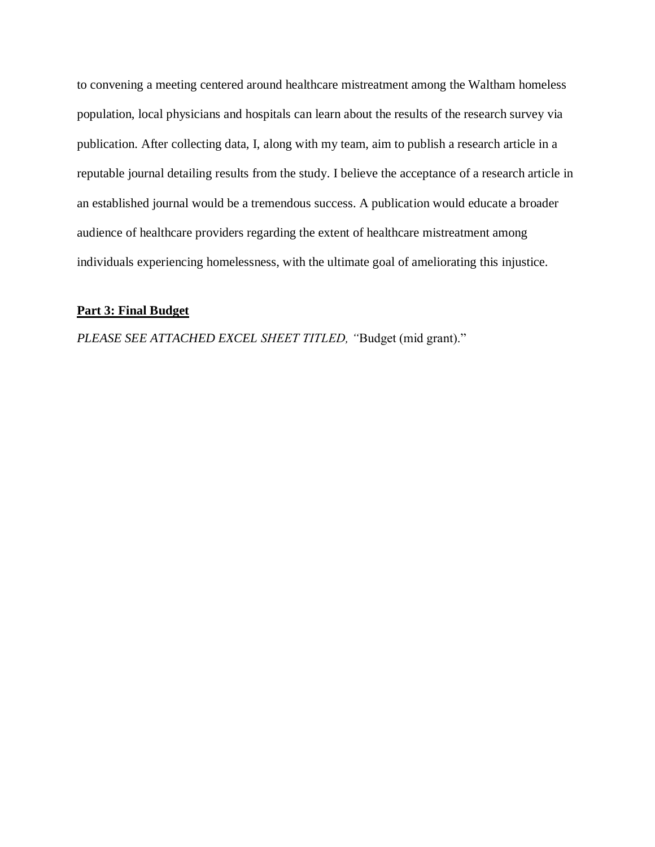to convening a meeting centered around healthcare mistreatment among the Waltham homeless population, local physicians and hospitals can learn about the results of the research survey via publication. After collecting data, I, along with my team, aim to publish a research article in a reputable journal detailing results from the study. I believe the acceptance of a research article in an established journal would be a tremendous success. A publication would educate a broader audience of healthcare providers regarding the extent of healthcare mistreatment among individuals experiencing homelessness, with the ultimate goal of ameliorating this injustice.

#### **Part 3: Final Budget**

*PLEASE SEE ATTACHED EXCEL SHEET TITLED, "*Budget (mid grant)."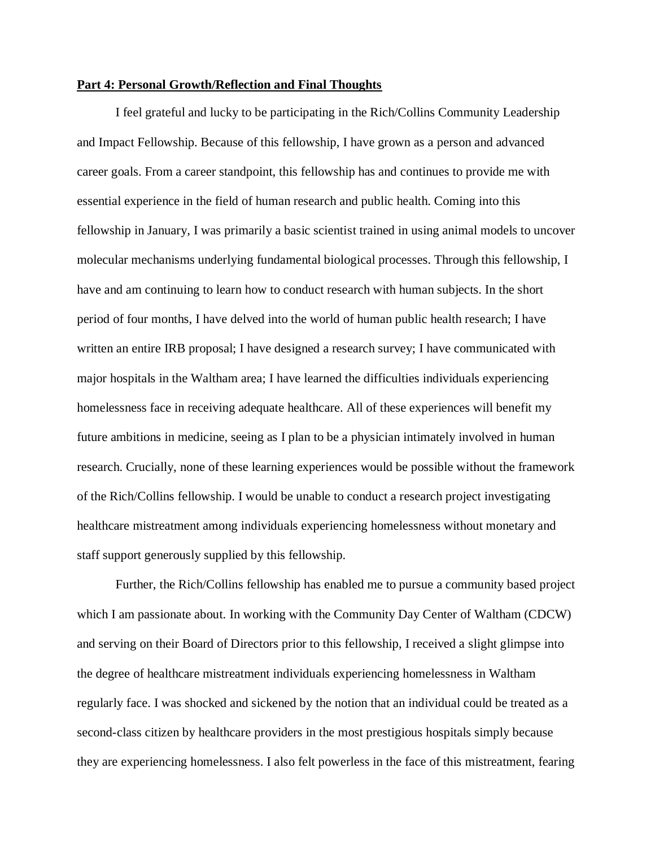#### **Part 4: Personal Growth/Reflection and Final Thoughts**

I feel grateful and lucky to be participating in the Rich/Collins Community Leadership and Impact Fellowship. Because of this fellowship, I have grown as a person and advanced career goals. From a career standpoint, this fellowship has and continues to provide me with essential experience in the field of human research and public health. Coming into this fellowship in January, I was primarily a basic scientist trained in using animal models to uncover molecular mechanisms underlying fundamental biological processes. Through this fellowship, I have and am continuing to learn how to conduct research with human subjects. In the short period of four months, I have delved into the world of human public health research; I have written an entire IRB proposal; I have designed a research survey; I have communicated with major hospitals in the Waltham area; I have learned the difficulties individuals experiencing homelessness face in receiving adequate healthcare. All of these experiences will benefit my future ambitions in medicine, seeing as I plan to be a physician intimately involved in human research. Crucially, none of these learning experiences would be possible without the framework of the Rich/Collins fellowship. I would be unable to conduct a research project investigating healthcare mistreatment among individuals experiencing homelessness without monetary and staff support generously supplied by this fellowship.

Further, the Rich/Collins fellowship has enabled me to pursue a community based project which I am passionate about. In working with the Community Day Center of Waltham (CDCW) and serving on their Board of Directors prior to this fellowship, I received a slight glimpse into the degree of healthcare mistreatment individuals experiencing homelessness in Waltham regularly face. I was shocked and sickened by the notion that an individual could be treated as a second-class citizen by healthcare providers in the most prestigious hospitals simply because they are experiencing homelessness. I also felt powerless in the face of this mistreatment, fearing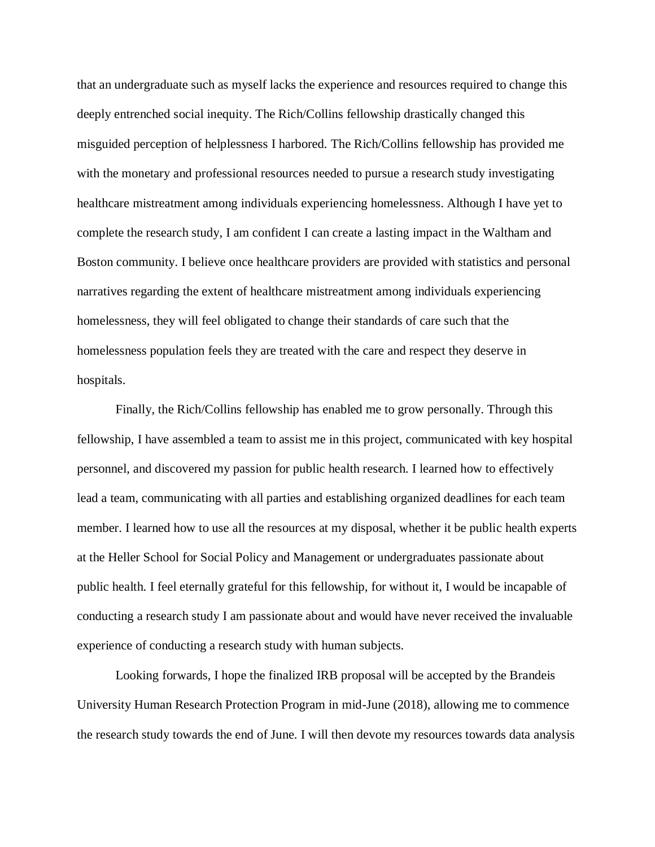that an undergraduate such as myself lacks the experience and resources required to change this deeply entrenched social inequity. The Rich/Collins fellowship drastically changed this misguided perception of helplessness I harbored. The Rich/Collins fellowship has provided me with the monetary and professional resources needed to pursue a research study investigating healthcare mistreatment among individuals experiencing homelessness. Although I have yet to complete the research study, I am confident I can create a lasting impact in the Waltham and Boston community. I believe once healthcare providers are provided with statistics and personal narratives regarding the extent of healthcare mistreatment among individuals experiencing homelessness, they will feel obligated to change their standards of care such that the homelessness population feels they are treated with the care and respect they deserve in hospitals.

Finally, the Rich/Collins fellowship has enabled me to grow personally. Through this fellowship, I have assembled a team to assist me in this project, communicated with key hospital personnel, and discovered my passion for public health research. I learned how to effectively lead a team, communicating with all parties and establishing organized deadlines for each team member. I learned how to use all the resources at my disposal, whether it be public health experts at the Heller School for Social Policy and Management or undergraduates passionate about public health. I feel eternally grateful for this fellowship, for without it, I would be incapable of conducting a research study I am passionate about and would have never received the invaluable experience of conducting a research study with human subjects.

Looking forwards, I hope the finalized IRB proposal will be accepted by the Brandeis University Human Research Protection Program in mid-June (2018), allowing me to commence the research study towards the end of June. I will then devote my resources towards data analysis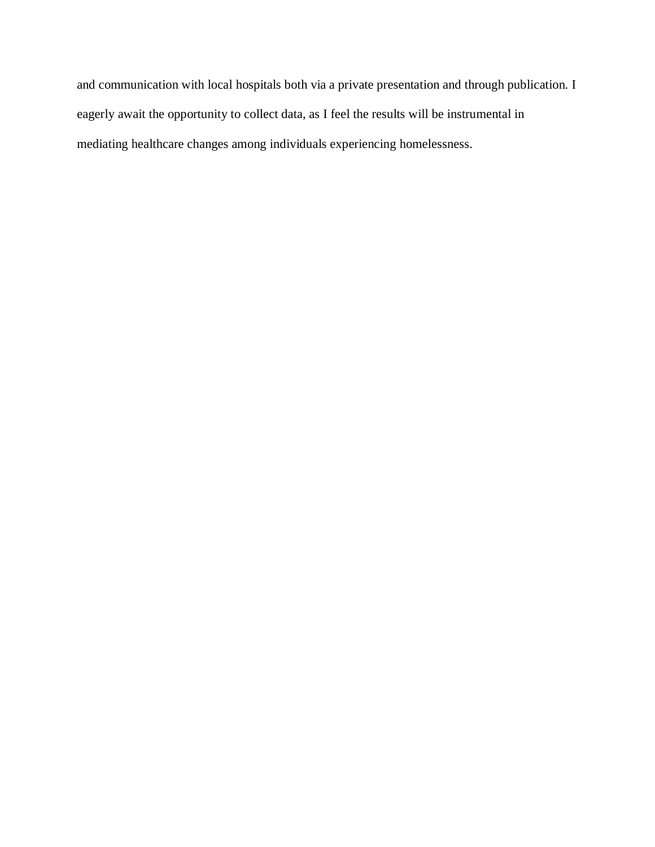and communication with local hospitals both via a private presentation and through publication. I eagerly await the opportunity to collect data, as I feel the results will be instrumental in mediating healthcare changes among individuals experiencing homelessness.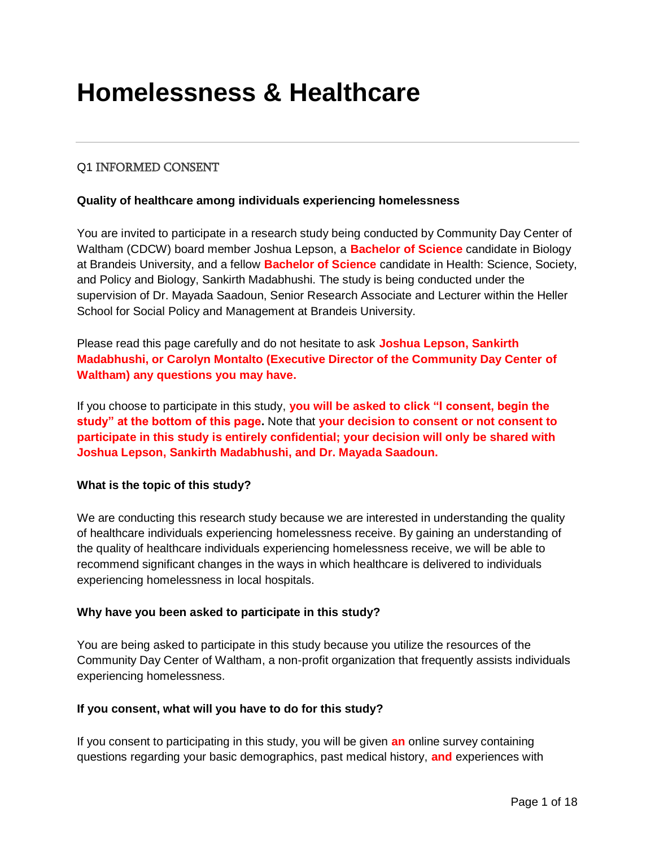# **Homelessness & Healthcare**

## Q1 INFORMED CONSENT

#### **Quality of healthcare among individuals experiencing homelessness**

You are invited to participate in a research study being conducted by Community Day Center of Waltham (CDCW) board member Joshua Lepson, a **Bachelor of Science** candidate in Biology at Brandeis University, and a fellow **Bachelor of Science** candidate in Health: Science, Society, and Policy and Biology, Sankirth Madabhushi. The study is being conducted under the supervision of Dr. Mayada Saadoun, Senior Research Associate and Lecturer within the Heller School for Social Policy and Management at Brandeis University.

Please read this page carefully and do not hesitate to ask **Joshua Lepson, Sankirth Madabhushi, or Carolyn Montalto (Executive Director of the Community Day Center of Waltham) any questions you may have.**

If you choose to participate in this study, **you will be asked to click "I consent, begin the study" at the bottom of this page.** Note that **your decision to consent or not consent to participate in this study is entirely confidential; your decision will only be shared with Joshua Lepson, Sankirth Madabhushi, and Dr. Mayada Saadoun.** 

#### **What is the topic of this study?**

We are conducting this research study because we are interested in understanding the quality of healthcare individuals experiencing homelessness receive. By gaining an understanding of the quality of healthcare individuals experiencing homelessness receive, we will be able to recommend significant changes in the ways in which healthcare is delivered to individuals experiencing homelessness in local hospitals.

#### **Why have you been asked to participate in this study?**

You are being asked to participate in this study because you utilize the resources of the Community Day Center of Waltham, a non-profit organization that frequently assists individuals experiencing homelessness.

#### **If you consent, what will you have to do for this study?**

If you consent to participating in this study, you will be given **an** online survey containing questions regarding your basic demographics, past medical history, **and** experiences with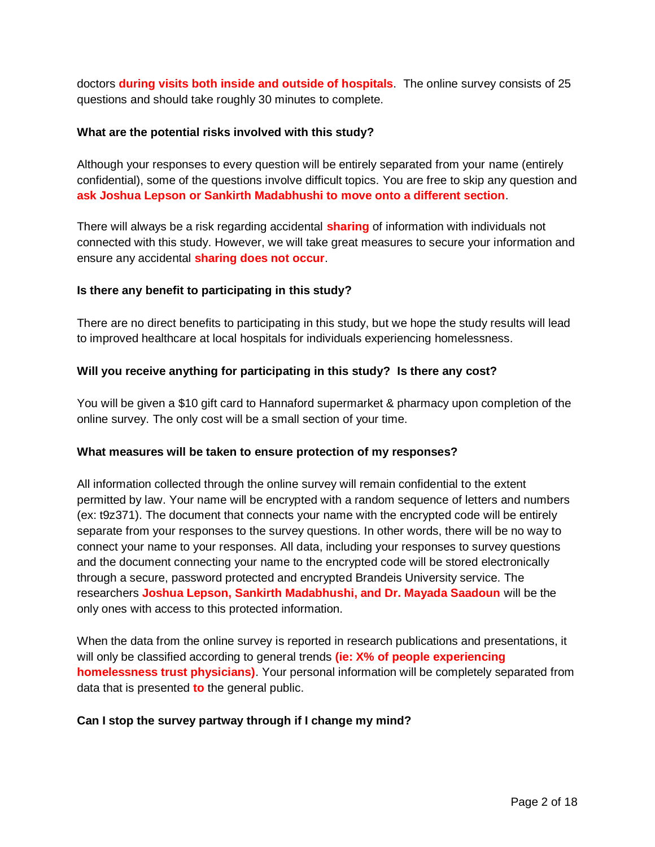doctors **during visits both inside and outside of hospitals**. The online survey consists of 25 questions and should take roughly 30 minutes to complete.

#### **What are the potential risks involved with this study?**

Although your responses to every question will be entirely separated from your name (entirely confidential), some of the questions involve difficult topics. You are free to skip any question and **ask Joshua Lepson or Sankirth Madabhushi to move onto a different section**.

There will always be a risk regarding accidental **sharing** of information with individuals not connected with this study. However, we will take great measures to secure your information and ensure any accidental **sharing does not occur**.

#### **Is there any benefit to participating in this study?**

There are no direct benefits to participating in this study, but we hope the study results will lead to improved healthcare at local hospitals for individuals experiencing homelessness.

#### **Will you receive anything for participating in this study? Is there any cost?**

You will be given a \$10 gift card to Hannaford supermarket & pharmacy upon completion of the online survey. The only cost will be a small section of your time.

#### **What measures will be taken to ensure protection of my responses?**

All information collected through the online survey will remain confidential to the extent permitted by law. Your name will be encrypted with a random sequence of letters and numbers (ex: t9z371). The document that connects your name with the encrypted code will be entirely separate from your responses to the survey questions. In other words, there will be no way to connect your name to your responses. All data, including your responses to survey questions and the document connecting your name to the encrypted code will be stored electronically through a secure, password protected and encrypted Brandeis University service. The researchers **Joshua Lepson, Sankirth Madabhushi, and Dr. Mayada Saadoun** will be the only ones with access to this protected information.

When the data from the online survey is reported in research publications and presentations, it will only be classified according to general trends **(ie: X% of people experiencing homelessness trust physicians)**. Your personal information will be completely separated from data that is presented **to** the general public.

#### **Can I stop the survey partway through if I change my mind?**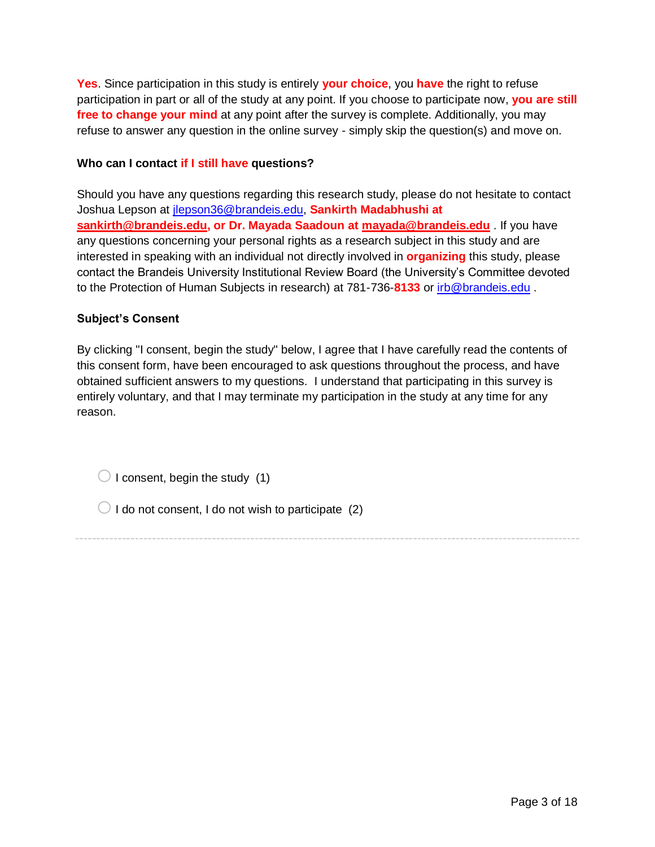**Yes**. Since participation in this study is entirely **your choice**, you **have** the right to refuse participation in part or all of the study at any point. If you choose to participate now, **you are still free to change your mind** at any point after the survey is complete. Additionally, you may refuse to answer any question in the online survey - simply skip the question(s) and move on.

#### **Who can I contact if I still have questions?**

Should you have any questions regarding this research study, please do not hesitate to contact Joshua Lepson at [jlepson36@brandeis.edu,](mailto:jlepson36@brandeis.edu) **Sankirth Madabhushi at [sankirth@brandeis.edu,](mailto:sankirth@brandeis.edu) or Dr. Mayada Saadoun at [mayada@brandeis.edu](mailto:mayada@brandeis.edu)** . If you have any questions concerning your personal rights as a research subject in this study and are interested in speaking with an individual not directly involved in **organizing** this study, please contact the Brandeis University Institutional Review Board (the University's Committee devoted to the Protection of Human Subjects in research) at 781-736-**8133** or [irb@brandeis.edu](mailto:irb@brandeis.edu) .

### **Subject's Consent**

By clicking "I consent, begin the study" below, I agree that I have carefully read the contents of this consent form, have been encouraged to ask questions throughout the process, and have obtained sufficient answers to my questions. I understand that participating in this survey is entirely voluntary, and that I may terminate my participation in the study at any time for any reason.

 $\bigcirc$  I consent, begin the study (1)

 $\bigcirc$  I do not consent, I do not wish to participate (2)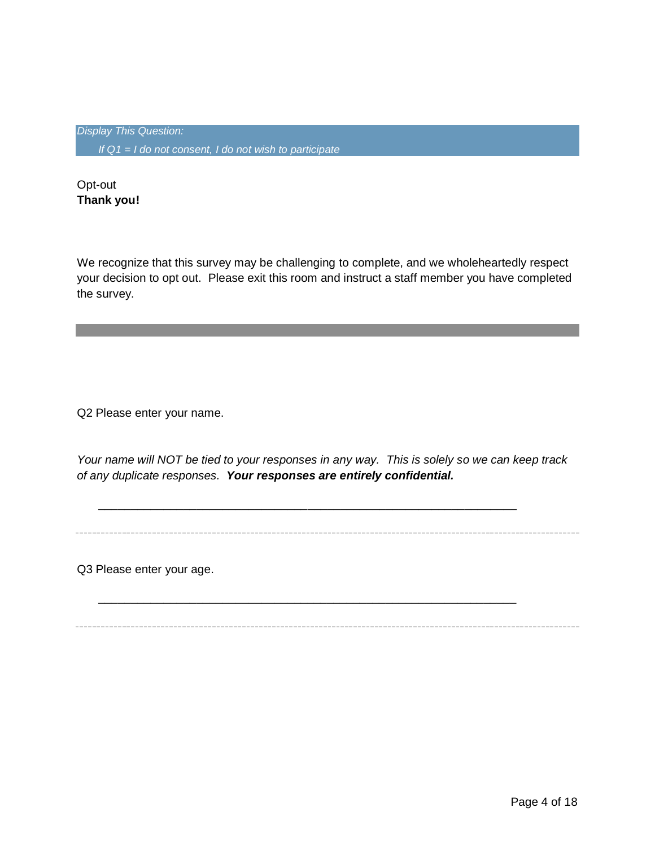*Display This Question: If Q1 = I do not consent, I do not wish to participate*

Opt-out **Thank you!**

We recognize that this survey may be challenging to complete, and we wholeheartedly respect your decision to opt out. Please exit this room and instruct a staff member you have completed the survey.

Q2 Please enter your name.

*Your name will NOT be tied to your responses in any way. This is solely so we can keep track of any duplicate responses. Your responses are entirely confidential.*

\_\_\_\_\_\_\_\_\_\_\_\_\_\_\_\_\_\_\_\_\_\_\_\_\_\_\_\_\_\_\_\_\_\_\_\_\_\_\_\_\_\_\_\_\_\_\_\_\_\_\_\_\_\_\_\_\_\_\_\_\_\_\_\_

\_\_\_\_\_\_\_\_\_\_\_\_\_\_\_\_\_\_\_\_\_\_\_\_\_\_\_\_\_\_\_\_\_\_\_\_\_\_\_\_\_\_\_\_\_\_\_\_\_\_\_\_\_\_\_\_\_\_\_\_\_\_\_\_

Q3 Please enter your age.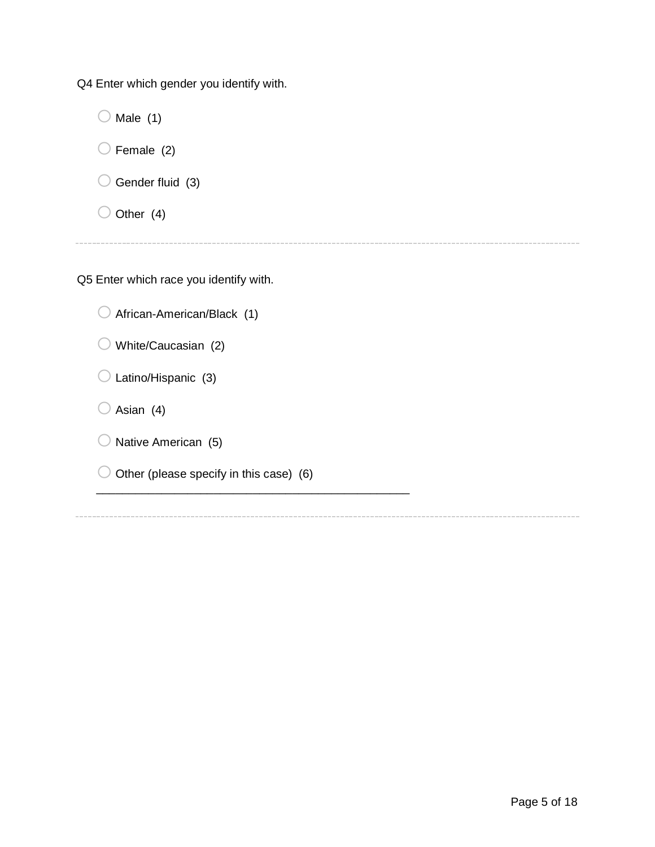Q4 Enter which gender you identify with.

 $\bigcirc$  Male (1)  $\bigcirc$  Female (2)  $\bigcirc$  Gender fluid (3)

 $\bigcirc$  Other (4)

Q5 Enter which race you identify with.

| $\bigcirc$ African-American/Black (1) |
|---------------------------------------|
| $\cup$ White/Caucasian (2)            |
| $\bigcirc$ Latino/Hispanic (3)        |
| $\bigcirc$ Asian (4)                  |
| $\bigcirc$ Native American (5)        |

 $\bigcirc$  Other (please specify in this case) (6)

\_\_\_\_\_\_\_\_\_\_\_\_\_\_\_\_\_\_\_\_\_\_\_\_\_\_\_\_\_\_\_\_\_\_\_\_\_\_\_\_\_\_\_\_\_\_\_\_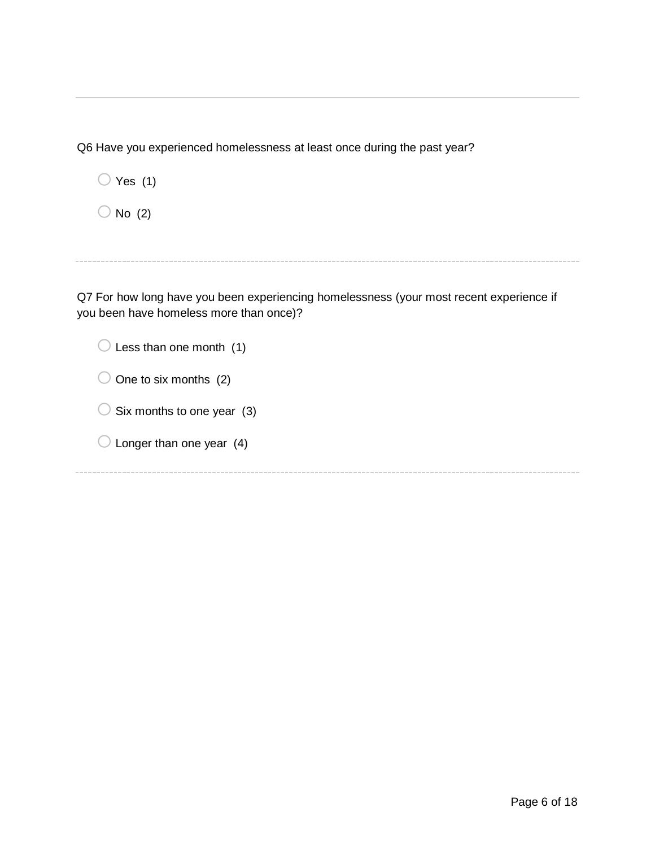Q6 Have you experienced homelessness at least once during the past year?

| Yes $(1)$        |  |
|------------------|--|
| $\supset$ No (2) |  |

Q7 For how long have you been experiencing homelessness (your most recent experience if you been have homeless more than once)?

| Less than one month (1)    |
|----------------------------|
| One to six months (2)      |
| Six months to one year (3) |
| Longer than one year (4)   |
|                            |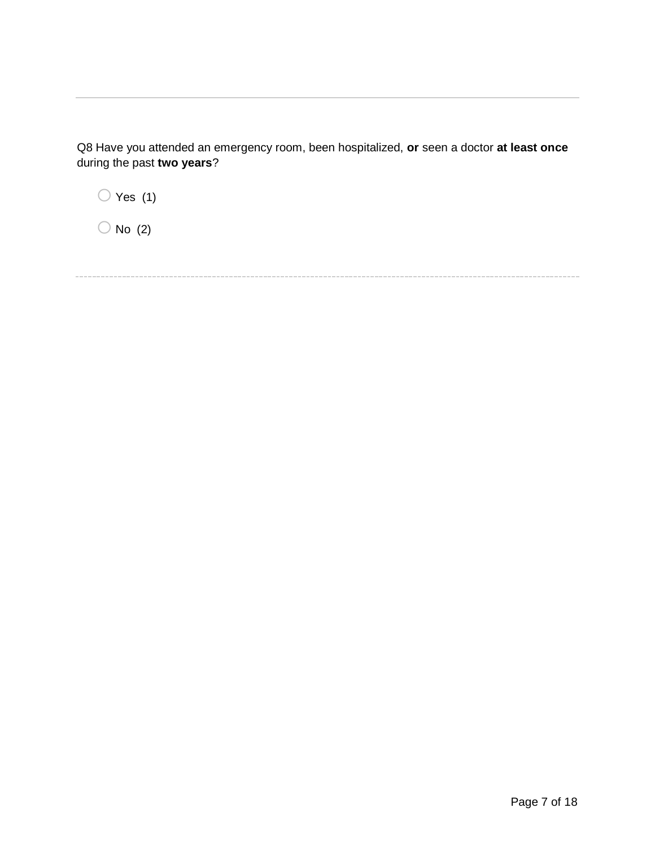Q8 Have you attended an emergency room, been hospitalized, **or** seen a doctor **at least once** during the past **two years**?

 $\bigcirc$  Yes (1)  $\bigcirc$  No (2)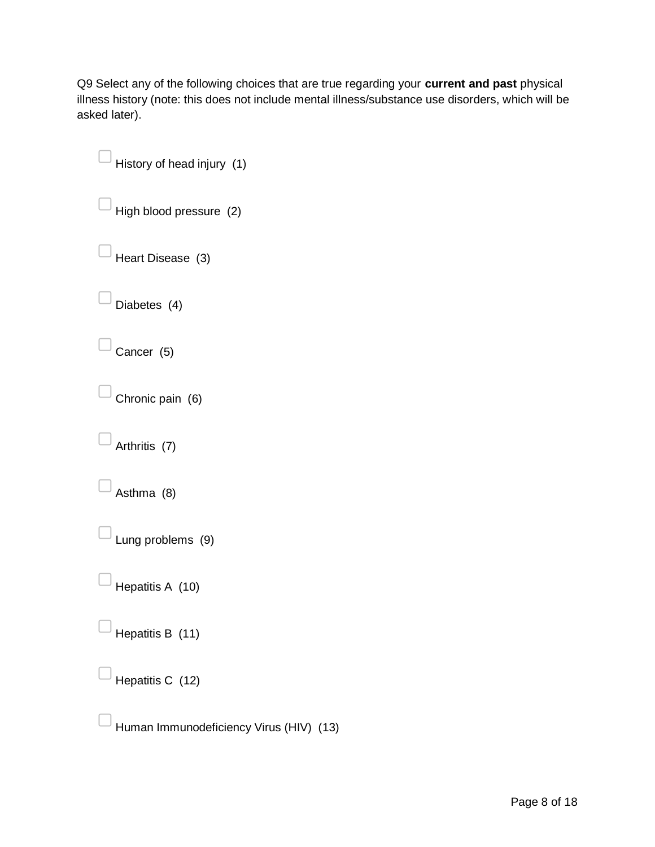Q9 Select any of the following choices that are true regarding your **current and past** physical illness history (note: this does not include mental illness/substance use disorders, which will be asked later).

History of head injury (1) High blood pressure (2) ▢Heart Disease (3) Diabetes (4) Cancer (5) ▢Chronic pain (6) Arthritis (7)

Asthma (8)

▢Lung problems (9)

Hepatitis A (10)

Hepatitis B (11)

Hepatitis C (12)

▢Human Immunodeficiency Virus (HIV) (13)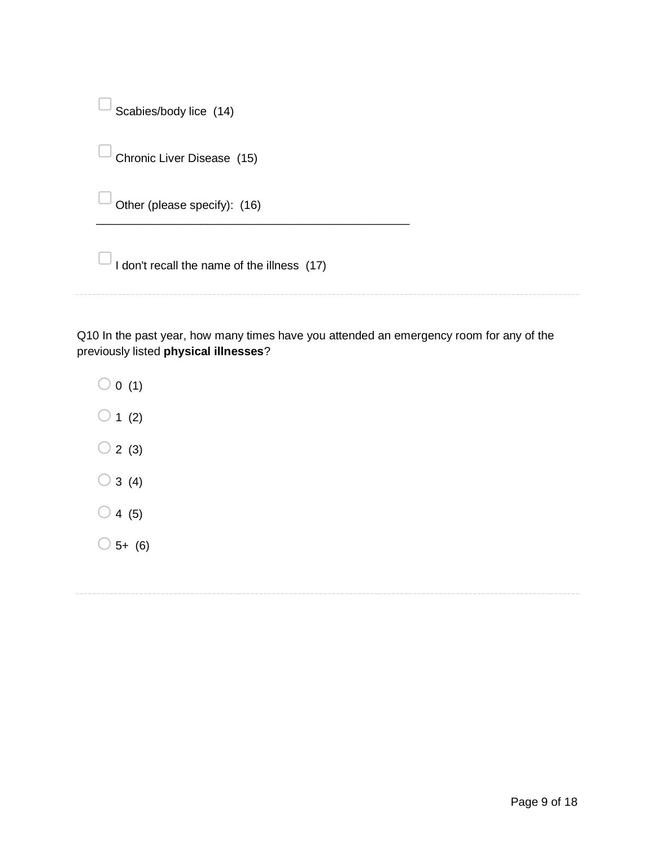| Scabies/body lice $(14)$ |  |
|--------------------------|--|

 $\overline{\phantom{a}}$  Chronic Liver Disease (15)

Other (please specify): (16)

 $\Box$  I don't recall the name of the illness (17)

\_\_\_\_\_\_\_\_\_\_\_\_\_\_\_\_\_\_\_\_\_\_\_\_\_\_\_\_\_\_\_\_\_\_\_\_\_\_\_\_\_\_\_\_\_\_\_\_

Page 9 of 18

Q10 In the past year, how many times have you attended an emergency room for any of the previously listed **physical illnesses**?

- $\bigcirc$  0 (1)  $\bigcirc$  1 (2)  $\bigcirc$  2 (3)  $\bigcirc$  3 (4)
- 
- $\bigcirc$  4 (5)
- $\bigcirc$  5+ (6)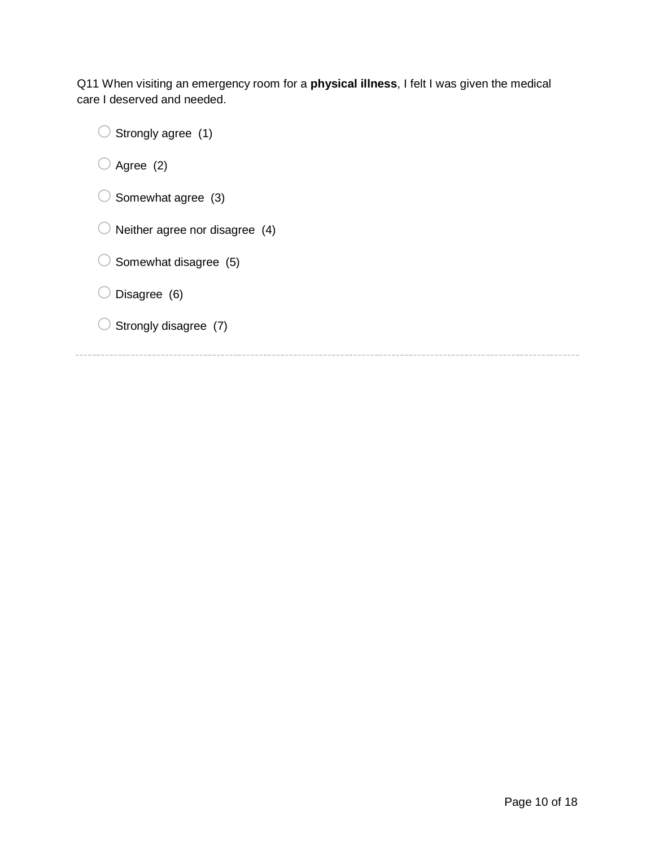Q11 When visiting an emergency room for a **physical illness**, I felt I was given the medical care I deserved and needed.

 $\bigcirc$  Strongly agree (1)

 $\bigcirc$  Agree (2)

- $\bigcirc$  Somewhat agree (3)
- $\bigcirc$  Neither agree nor disagree (4)
- $\bigcirc$  Somewhat disagree (5)

 $\bigcirc$  Disagree (6)

 $\bigcirc$  Strongly disagree (7)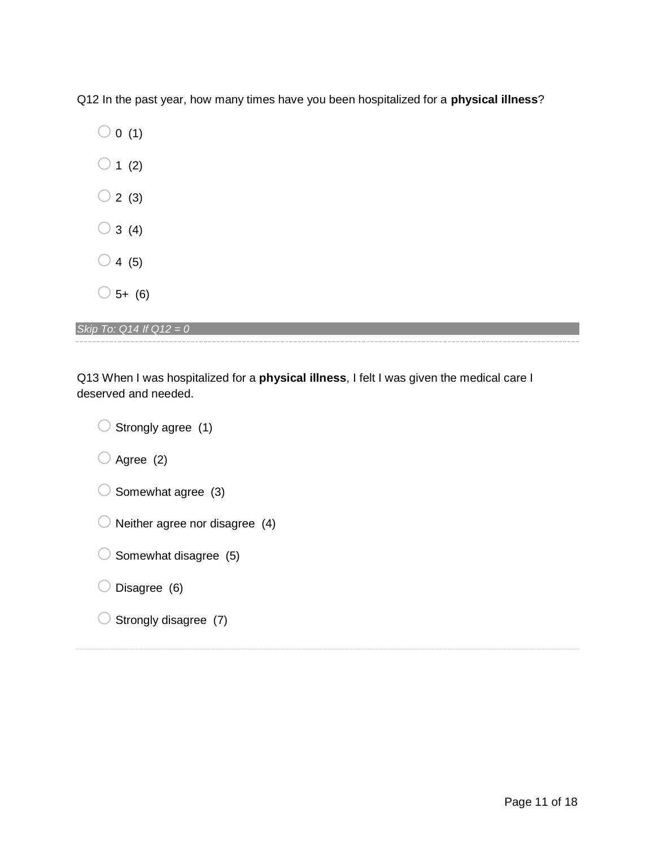Q12 In the past year, how many times have you been hospitalized for a **physical illness**?

| $\mathcal{C}$<br>0(1) |  |
|-----------------------|--|
| 1(2)                  |  |
| 2 (3)                 |  |
| 3(4)                  |  |
| 4(5)                  |  |
| 5+<br>(6)             |  |

*Skip To: Q14 If Q12 = 0*

Q13 When I was hospitalized for a **physical illness**, I felt I was given the medical care I deserved and needed.

 $\bigcirc$  Strongly agree (1)

 $\bigcirc$  Agree (2)

| $\bigcirc$ Somewhat agree (3) |  |
|-------------------------------|--|

 $\bigcirc$  Neither agree nor disagree (4)

| $\bigcirc$ Somewhat disagree (5) |  |
|----------------------------------|--|

# $\bigcirc$  Disagree (6)

 $\bigcirc$  Strongly disagree (7)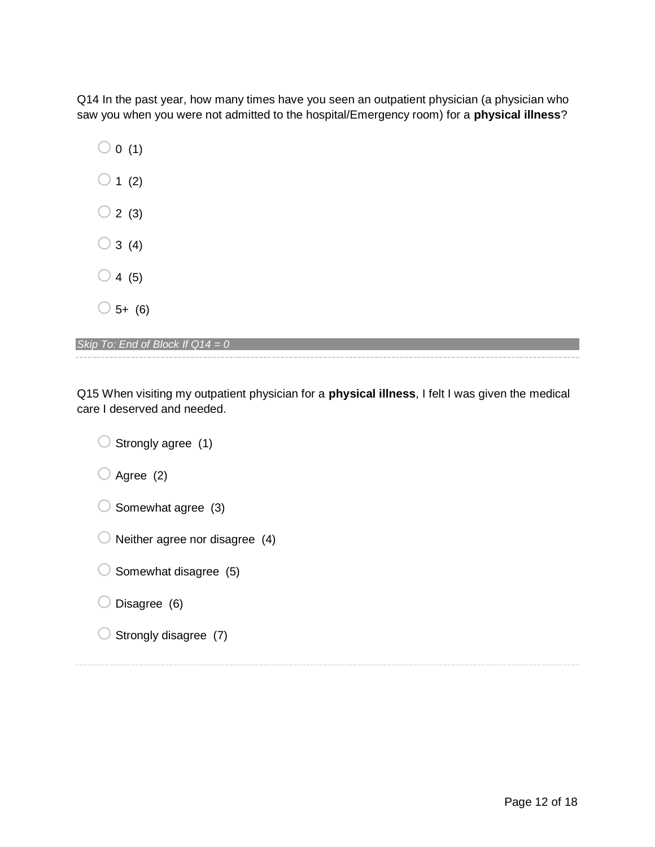Q14 In the past year, how many times have you seen an outpatient physician (a physician who saw you when you were not admitted to the hospital/Emergency room) for a **physical illness**?

 $\bigcirc$  0 (1)  $\bigcirc$  1 (2)  $\bigcirc$  2 (3)  $\bigcirc$  3 (4)  $\bigcirc$  4 (5)  $\bigcirc$  5+ (6)

*Skip To: End of Block If Q14 = 0*

Q15 When visiting my outpatient physician for a **physical illness**, I felt I was given the medical care I deserved and needed.

 $\bigcirc$  Strongly agree (1)  $\bigcirc$  Agree (2)  $\bigcirc$  Somewhat agree (3)  $\bigcirc$  Neither agree nor disagree (4)  $\bigcirc$  Somewhat disagree (5)  $\bigcirc$  Disagree (6)  $\bigcirc$  Strongly disagree (7)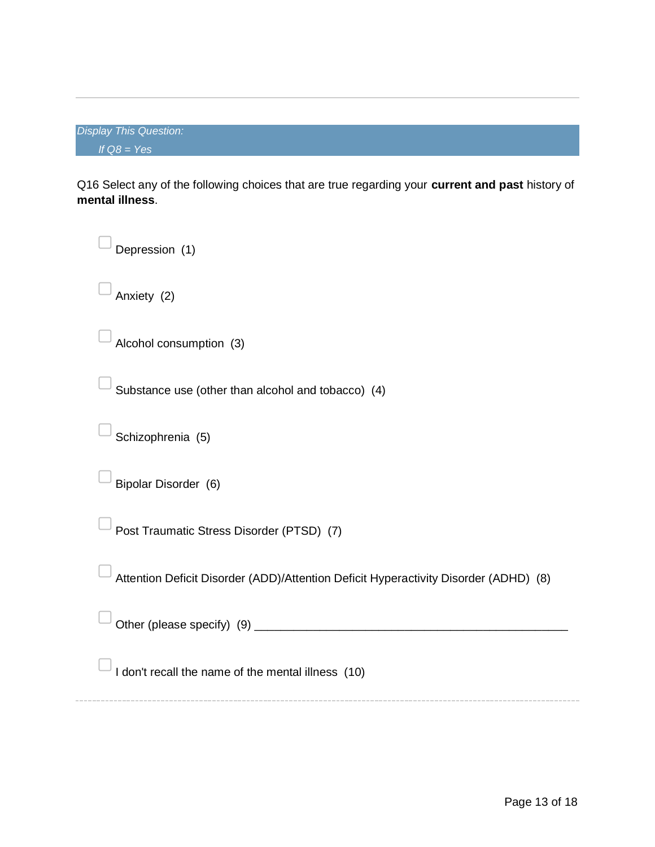|               | <b>Display This Question:</b> |
|---------------|-------------------------------|
| If $QS = Yes$ |                               |

Q16 Select any of the following choices that are true regarding your **current and past** history of **mental illness**.

| Depression (1)                                                                       |
|--------------------------------------------------------------------------------------|
| Anxiety (2)                                                                          |
| Alcohol consumption (3)                                                              |
| Substance use (other than alcohol and tobacco) (4)                                   |
| Schizophrenia (5)                                                                    |
| Bipolar Disorder (6)                                                                 |
| Post Traumatic Stress Disorder (PTSD) (7)                                            |
| Attention Deficit Disorder (ADD)/Attention Deficit Hyperactivity Disorder (ADHD) (8) |
|                                                                                      |
| I don't recall the name of the mental illness (10)                                   |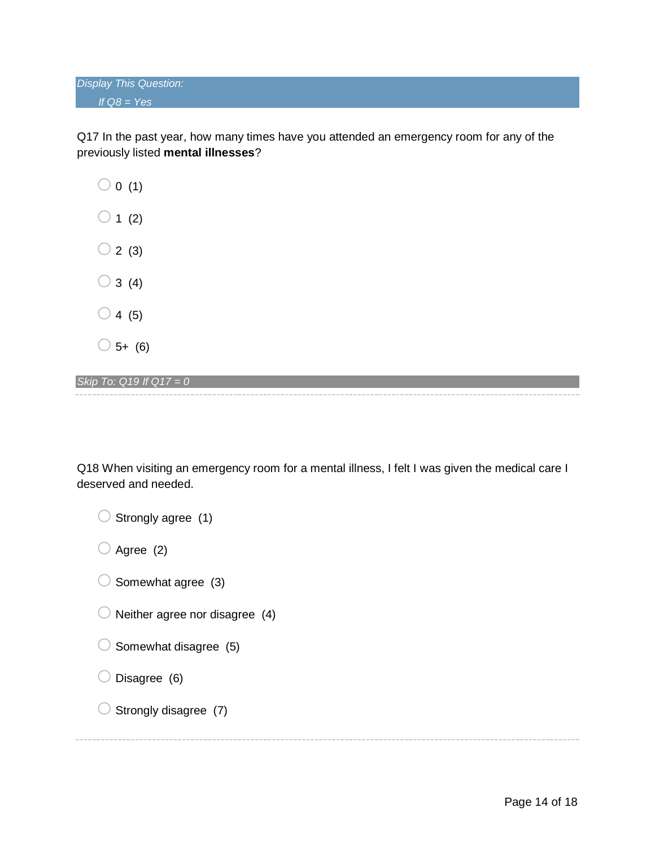*Display This Question: If Q8 = Yes*

Q17 In the past year, how many times have you attended an emergency room for any of the previously listed **mental illnesses**?

 $\bigcirc$  0 (1)  $\bigcirc$  1 (2)  $\bigcirc$  2 (3)  $\bigcirc$  3 (4)  $\bigcirc$  4 (5)  $\bigcirc$  5+ (6)

*Skip To: Q19 If Q17 = 0*

Q18 When visiting an emergency room for a mental illness, I felt I was given the medical care I deserved and needed.

| $\bigcirc$ Strongly agree (1)             |
|-------------------------------------------|
| $\bigcirc$ Agree (2)                      |
| $\bigcirc$ Somewhat agree (3)             |
| $\bigcirc$ Neither agree nor disagree (4) |
| $\bigcirc$ Somewhat disagree (5)          |
| $\bigcirc$ Disagree (6)                   |
| $\bigcirc$ Strongly disagree (7)          |
|                                           |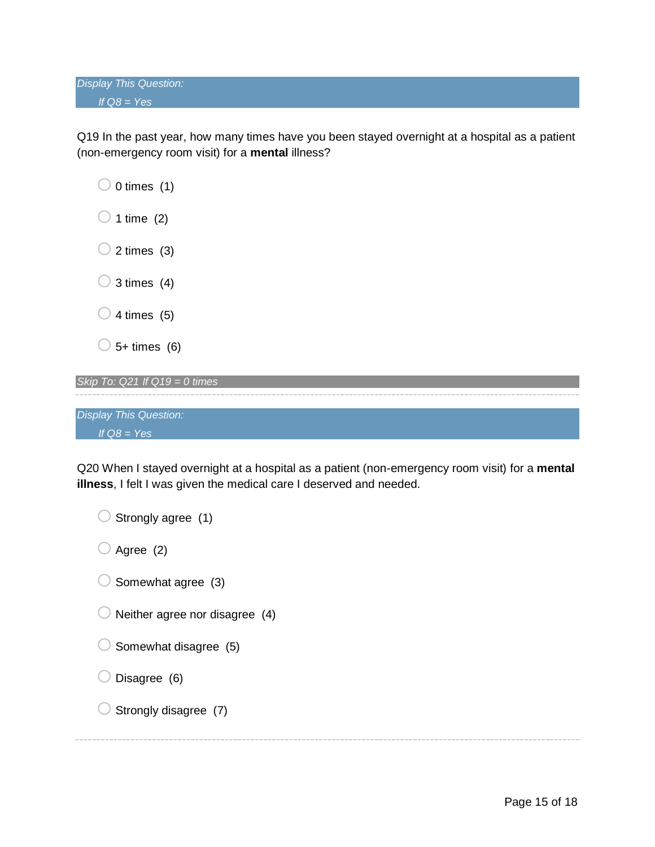*Display This Question: If Q8 = Yes*

Q19 In the past year, how many times have you been stayed overnight at a hospital as a patient (non-emergency room visit) for a **mental** illness?

| $\bigcirc$ 0 times (1) |
|------------------------|
| $\bigcirc$ 1 time (2)  |
| $\bigcirc$ 2 times (3) |
| $\bigcirc$ 3 times (4) |
| $\bigcirc$ 4 times (5) |
| $\bigcup$ 5+ times (6) |
|                        |

| Skip To: $Q21$ If $Q19 = 0$ times |  |  |
|-----------------------------------|--|--|
|                                   |  |  |
|                                   |  |  |
| <b>Display This Question:</b>     |  |  |
| If $Q8 = Yes$                     |  |  |

Q20 When I stayed overnight at a hospital as a patient (non-emergency room visit) for a **mental illness**, I felt I was given the medical care I deserved and needed.

 $\bigcirc$  Strongly agree (1)  $\bigcirc$  Agree (2)  $\bigcirc$  Somewhat agree (3)  $\bigcirc$  Neither agree nor disagree (4)  $\bigcirc$  Somewhat disagree (5)  $\bigcirc$  Disagree (6)  $\bigcirc$  Strongly disagree (7)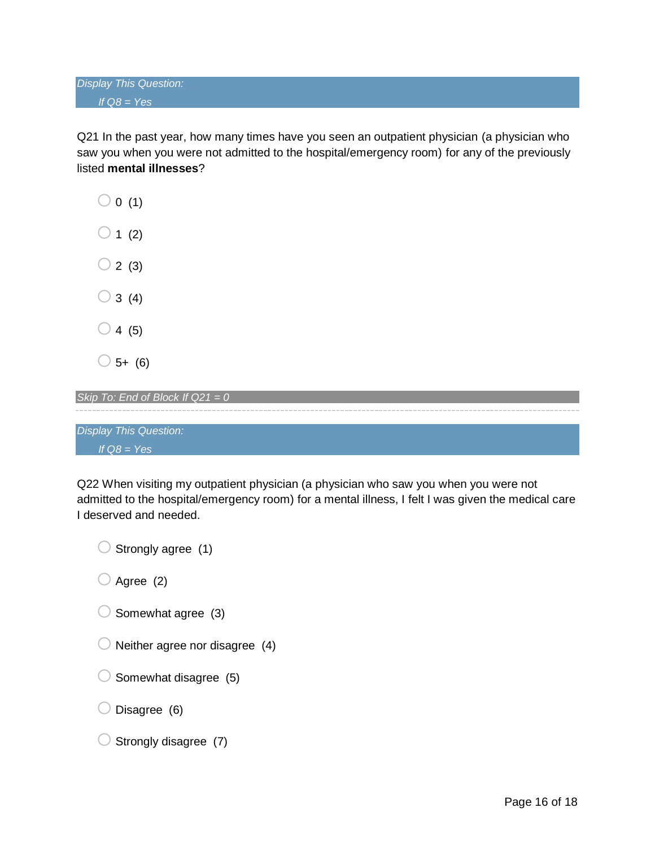Q21 In the past year, how many times have you seen an outpatient physician (a physician who saw you when you were not admitted to the hospital/emergency room) for any of the previously listed **mental illnesses**?

 $\bigcirc$  0 (1)  $\bigcirc$  1 (2)  $\bigcirc$  2 (3)  $\bigcirc$  3 (4)  $\bigcirc$  4 (5)  $\bigcirc$  5+ (6)

*Skip To: End of Block If Q21 = 0*

*Display This Question: If Q8 = Yes*

Q22 When visiting my outpatient physician (a physician who saw you when you were not admitted to the hospital/emergency room) for a mental illness, I felt I was given the medical care I deserved and needed.

 $\bigcirc$  Strongly agree (1)

 $\bigcirc$  Agree (2)

- $\bigcirc$  Somewhat agree (3)
- $\bigcirc$  Neither agree nor disagree (4)
- $\bigcirc$  Somewhat disagree (5)
- $\bigcirc$  Disagree (6)
- $\bigcirc$  Strongly disagree (7)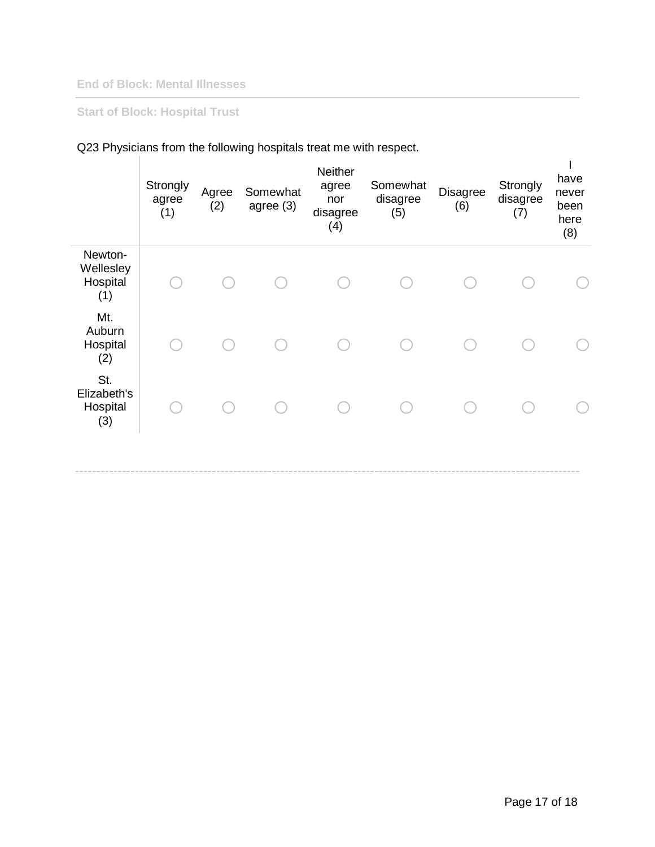### **End of Block: Mental Illnesses**

# **Start of Block: Hospital Trust**

|                                         | Strongly<br>agree<br>(1) | Agree<br>(2) | Somewhat<br>agree (3) | Neither<br>agree<br>nor<br>disagree<br>(4) | Somewhat<br>disagree<br>(5) | Disagree<br>(6) | Strongly<br>disagree<br>(7) | have<br>never<br>been<br>here<br>(8) |
|-----------------------------------------|--------------------------|--------------|-----------------------|--------------------------------------------|-----------------------------|-----------------|-----------------------------|--------------------------------------|
| Newton-<br>Wellesley<br>Hospital<br>(1) |                          |              |                       |                                            |                             |                 |                             |                                      |
| Mt.<br>Auburn<br>Hospital<br>(2)        |                          |              |                       |                                            |                             |                 |                             |                                      |
| St.<br>Elizabeth's<br>Hospital<br>(3)   |                          |              |                       |                                            |                             |                 |                             |                                      |
|                                         |                          |              |                       |                                            |                             |                 |                             |                                      |

# Q23 Physicians from the following hospitals treat me with respect.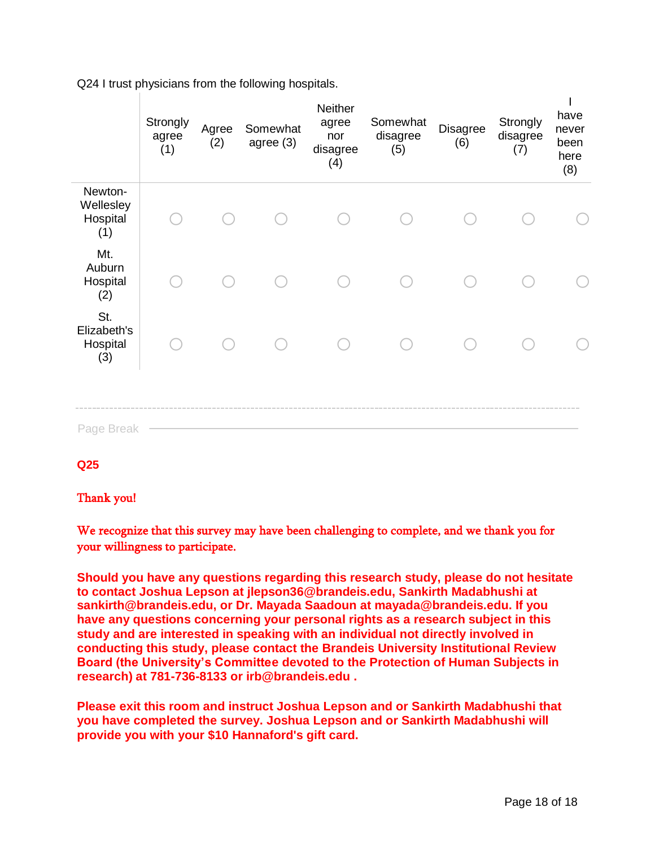|                                         | Strongly<br>agree<br>(1) | Agree<br>(2) | Somewhat<br>agree (3) | Neither<br>agree<br>nor<br>disagree<br>(4) | Somewhat<br>disagree<br>(5) | <b>Disagree</b><br>(6) | Strongly<br>disagree<br>(7) | have<br>never<br>been<br>here<br>(8) |
|-----------------------------------------|--------------------------|--------------|-----------------------|--------------------------------------------|-----------------------------|------------------------|-----------------------------|--------------------------------------|
| Newton-<br>Wellesley<br>Hospital<br>(1) |                          |              |                       |                                            |                             |                        |                             |                                      |
| Mt.<br>Auburn<br>Hospital<br>(2)        |                          |              |                       |                                            |                             |                        |                             |                                      |
| St.<br>Elizabeth's<br>Hospital<br>(3)   |                          |              |                       |                                            |                             |                        |                             |                                      |
| Page Break                              |                          |              |                       |                                            |                             |                        |                             |                                      |

Q24 I trust physicians from the following hospitals.

**Q25** 

#### Thank you!

We recognize that this survey may have been challenging to complete, and we thank you for your willingness to participate.

**Should you have any questions regarding this research study, please do not hesitate to contact Joshua Lepson at jlepson36@brandeis.edu, Sankirth Madabhushi at sankirth@brandeis.edu, or Dr. Mayada Saadoun at mayada@brandeis.edu. If you have any questions concerning your personal rights as a research subject in this study and are interested in speaking with an individual not directly involved in conducting this study, please contact the Brandeis University Institutional Review Board (the University's Committee devoted to the Protection of Human Subjects in research) at 781-736-8133 or irb@brandeis.edu .**

**Please exit this room and instruct Joshua Lepson and or Sankirth Madabhushi that you have completed the survey. Joshua Lepson and or Sankirth Madabhushi will provide you with your \$10 Hannaford's gift card.**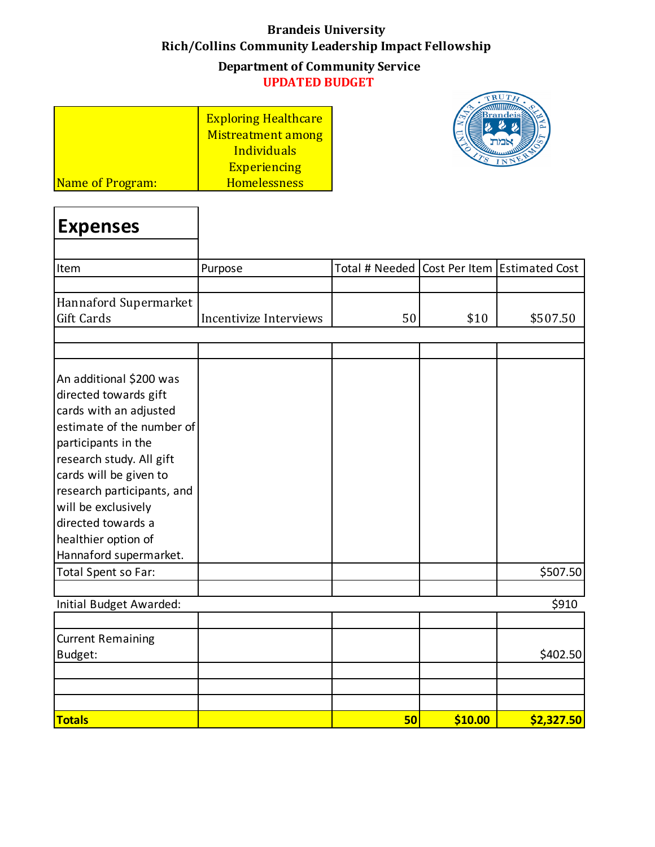# **Brandeis University Rich/Collins Community Leadership Impact Fellowship Department of Community Service UPDATED BUDGET**

|                         | <b>Exploring Healthcare</b> |
|-------------------------|-----------------------------|
|                         | Mistreatment among          |
|                         | Individuals                 |
|                         | <b>Experiencing</b>         |
| <b>Name of Program:</b> | <b>Homelessness</b>         |

٦

Г



| Expenses              |                        |    |      |                                                 |
|-----------------------|------------------------|----|------|-------------------------------------------------|
| Item                  | Purpose                |    |      | Total # Needed   Cost Per Item   Estimated Cost |
|                       |                        |    |      |                                                 |
| Hannaford Supermarket |                        |    |      |                                                 |
| <b>Gift Cards</b>     | Incentivize Interviews | 50 | \$10 | \$507.50                                        |
|                       |                        |    |      |                                                 |

| An additional \$200 was    |    |         |            |
|----------------------------|----|---------|------------|
|                            |    |         |            |
| directed towards gift      |    |         |            |
| cards with an adjusted     |    |         |            |
| estimate of the number of  |    |         |            |
| participants in the        |    |         |            |
| research study. All gift   |    |         |            |
| cards will be given to     |    |         |            |
| research participants, and |    |         |            |
| will be exclusively        |    |         |            |
| directed towards a         |    |         |            |
| healthier option of        |    |         |            |
| Hannaford supermarket.     |    |         |            |
| Total Spent so Far:        |    |         | \$507.50   |
| Initial Budget Awarded:    |    |         | \$910      |
|                            |    |         |            |
|                            |    |         |            |
| <b>Current Remaining</b>   |    |         |            |
| Budget:                    |    |         | \$402.50   |
|                            |    |         |            |
|                            |    |         |            |
|                            |    |         |            |
| <b>Totals</b>              | 50 | \$10.00 | \$2,327.50 |